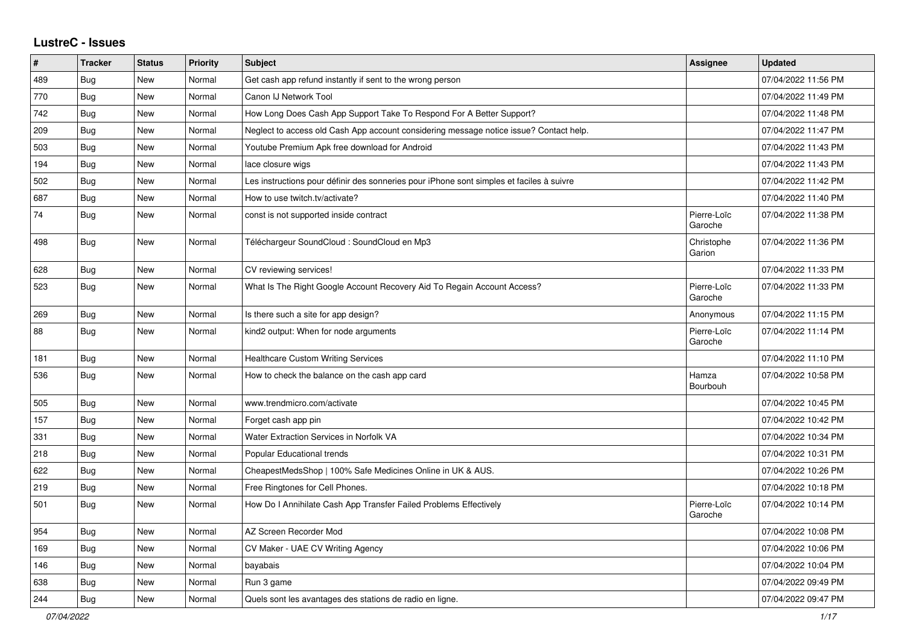## **LustreC - Issues**

| #   | <b>Tracker</b> | <b>Status</b> | Priority | <b>Subject</b>                                                                           | <b>Assignee</b>        | <b>Updated</b>      |
|-----|----------------|---------------|----------|------------------------------------------------------------------------------------------|------------------------|---------------------|
| 489 | Bug            | New           | Normal   | Get cash app refund instantly if sent to the wrong person                                |                        | 07/04/2022 11:56 PM |
| 770 | <b>Bug</b>     | <b>New</b>    | Normal   | Canon IJ Network Tool                                                                    |                        | 07/04/2022 11:49 PM |
| 742 | Bug            | <b>New</b>    | Normal   | How Long Does Cash App Support Take To Respond For A Better Support?                     |                        | 07/04/2022 11:48 PM |
| 209 | Bug            | New           | Normal   | Neglect to access old Cash App account considering message notice issue? Contact help.   |                        | 07/04/2022 11:47 PM |
| 503 | <b>Bug</b>     | <b>New</b>    | Normal   | Youtube Premium Apk free download for Android                                            |                        | 07/04/2022 11:43 PM |
| 194 | Bug            | New           | Normal   | lace closure wigs                                                                        |                        | 07/04/2022 11:43 PM |
| 502 | Bug            | <b>New</b>    | Normal   | Les instructions pour définir des sonneries pour iPhone sont simples et faciles à suivre |                        | 07/04/2022 11:42 PM |
| 687 | Bug            | New           | Normal   | How to use twitch.tv/activate?                                                           |                        | 07/04/2022 11:40 PM |
| 74  | <b>Bug</b>     | <b>New</b>    | Normal   | const is not supported inside contract                                                   | Pierre-Loïc<br>Garoche | 07/04/2022 11:38 PM |
| 498 | Bug            | New           | Normal   | Téléchargeur SoundCloud : SoundCloud en Mp3                                              | Christophe<br>Garion   | 07/04/2022 11:36 PM |
| 628 | <b>Bug</b>     | New           | Normal   | CV reviewing services!                                                                   |                        | 07/04/2022 11:33 PM |
| 523 | Bug            | New           | Normal   | What Is The Right Google Account Recovery Aid To Regain Account Access?                  | Pierre-Loïc<br>Garoche | 07/04/2022 11:33 PM |
| 269 | Bug            | New           | Normal   | Is there such a site for app design?                                                     | Anonymous              | 07/04/2022 11:15 PM |
| 88  | Bug            | New           | Normal   | kind2 output: When for node arguments                                                    | Pierre-Loïc<br>Garoche | 07/04/2022 11:14 PM |
| 181 | Bug            | New           | Normal   | <b>Healthcare Custom Writing Services</b>                                                |                        | 07/04/2022 11:10 PM |
| 536 | Bug            | <b>New</b>    | Normal   | How to check the balance on the cash app card                                            | Hamza<br>Bourbouh      | 07/04/2022 10:58 PM |
| 505 | Bug            | <b>New</b>    | Normal   | www.trendmicro.com/activate                                                              |                        | 07/04/2022 10:45 PM |
| 157 | Bug            | <b>New</b>    | Normal   | Forget cash app pin                                                                      |                        | 07/04/2022 10:42 PM |
| 331 | <b>Bug</b>     | <b>New</b>    | Normal   | Water Extraction Services in Norfolk VA                                                  |                        | 07/04/2022 10:34 PM |
| 218 | <b>Bug</b>     | <b>New</b>    | Normal   | Popular Educational trends                                                               |                        | 07/04/2022 10:31 PM |
| 622 | Bug            | New           | Normal   | CheapestMedsShop   100% Safe Medicines Online in UK & AUS.                               |                        | 07/04/2022 10:26 PM |
| 219 | <b>Bug</b>     | New           | Normal   | Free Ringtones for Cell Phones.                                                          |                        | 07/04/2022 10:18 PM |
| 501 | Bug            | New           | Normal   | How Do I Annihilate Cash App Transfer Failed Problems Effectively                        | Pierre-Loïc<br>Garoche | 07/04/2022 10:14 PM |
| 954 | <b>Bug</b>     | New           | Normal   | AZ Screen Recorder Mod                                                                   |                        | 07/04/2022 10:08 PM |
| 169 | Bug            | New           | Normal   | CV Maker - UAE CV Writing Agency                                                         |                        | 07/04/2022 10:06 PM |
| 146 | <b>Bug</b>     | New           | Normal   | bayabais                                                                                 |                        | 07/04/2022 10:04 PM |
| 638 | <b>Bug</b>     | <b>New</b>    | Normal   | Run 3 game                                                                               |                        | 07/04/2022 09:49 PM |
| 244 | <b>Bug</b>     | New           | Normal   | Quels sont les avantages des stations de radio en ligne.                                 |                        | 07/04/2022 09:47 PM |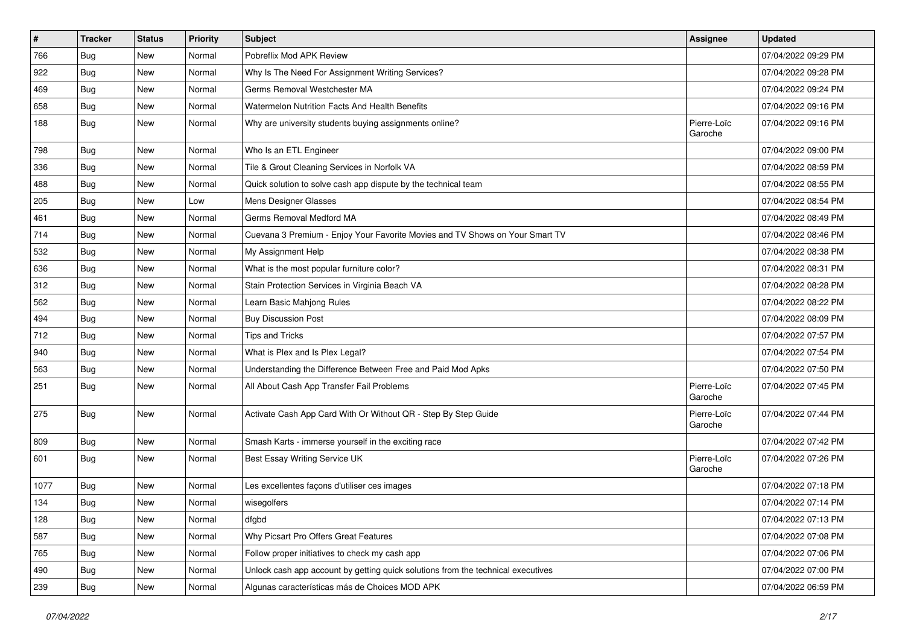| $\vert$ # | <b>Tracker</b> | <b>Status</b> | <b>Priority</b> | <b>Subject</b>                                                                   | Assignee               | <b>Updated</b>      |
|-----------|----------------|---------------|-----------------|----------------------------------------------------------------------------------|------------------------|---------------------|
| 766       | <b>Bug</b>     | New           | Normal          | Pobreflix Mod APK Review                                                         |                        | 07/04/2022 09:29 PM |
| 922       | Bug            | <b>New</b>    | Normal          | Why Is The Need For Assignment Writing Services?                                 |                        | 07/04/2022 09:28 PM |
| 469       | <b>Bug</b>     | New           | Normal          | Germs Removal Westchester MA                                                     |                        | 07/04/2022 09:24 PM |
| 658       | <b>Bug</b>     | New           | Normal          | Watermelon Nutrition Facts And Health Benefits                                   |                        | 07/04/2022 09:16 PM |
| 188       | Bug            | <b>New</b>    | Normal          | Why are university students buying assignments online?                           | Pierre-Loïc<br>Garoche | 07/04/2022 09:16 PM |
| 798       | <b>Bug</b>     | <b>New</b>    | Normal          | Who Is an ETL Engineer                                                           |                        | 07/04/2022 09:00 PM |
| 336       | Bug            | New           | Normal          | Tile & Grout Cleaning Services in Norfolk VA                                     |                        | 07/04/2022 08:59 PM |
| 488       | <b>Bug</b>     | New           | Normal          | Quick solution to solve cash app dispute by the technical team                   |                        | 07/04/2022 08:55 PM |
| 205       | Bug            | <b>New</b>    | Low             | Mens Designer Glasses                                                            |                        | 07/04/2022 08:54 PM |
| 461       | <b>Bug</b>     | New           | Normal          | Germs Removal Medford MA                                                         |                        | 07/04/2022 08:49 PM |
| 714       | <b>Bug</b>     | New           | Normal          | Cuevana 3 Premium - Enjoy Your Favorite Movies and TV Shows on Your Smart TV     |                        | 07/04/2022 08:46 PM |
| 532       | <b>Bug</b>     | New           | Normal          | My Assignment Help                                                               |                        | 07/04/2022 08:38 PM |
| 636       | <b>Bug</b>     | <b>New</b>    | Normal          | What is the most popular furniture color?                                        |                        | 07/04/2022 08:31 PM |
| 312       | Bug            | New           | Normal          | Stain Protection Services in Virginia Beach VA                                   |                        | 07/04/2022 08:28 PM |
| 562       | <b>Bug</b>     | New           | Normal          | Learn Basic Mahjong Rules                                                        |                        | 07/04/2022 08:22 PM |
| 494       | <b>Bug</b>     | New           | Normal          | <b>Buy Discussion Post</b>                                                       |                        | 07/04/2022 08:09 PM |
| 712       | Bug            | <b>New</b>    | Normal          | <b>Tips and Tricks</b>                                                           |                        | 07/04/2022 07:57 PM |
| 940       | <b>Bug</b>     | New           | Normal          | What is Plex and Is Plex Legal?                                                  |                        | 07/04/2022 07:54 PM |
| 563       | <b>Bug</b>     | New           | Normal          | Understanding the Difference Between Free and Paid Mod Apks                      |                        | 07/04/2022 07:50 PM |
| 251       | Bug            | New           | Normal          | All About Cash App Transfer Fail Problems                                        | Pierre-Loïc<br>Garoche | 07/04/2022 07:45 PM |
| 275       | Bug            | <b>New</b>    | Normal          | Activate Cash App Card With Or Without QR - Step By Step Guide                   | Pierre-Loïc<br>Garoche | 07/04/2022 07:44 PM |
| 809       | Bug            | New           | Normal          | Smash Karts - immerse yourself in the exciting race                              |                        | 07/04/2022 07:42 PM |
| 601       | Bug            | New           | Normal          | Best Essay Writing Service UK                                                    | Pierre-Loïc<br>Garoche | 07/04/2022 07:26 PM |
| 1077      | Bug            | <b>New</b>    | Normal          | Les excellentes façons d'utiliser ces images                                     |                        | 07/04/2022 07:18 PM |
| 134       | <b>Bug</b>     | New           | Normal          | wisegolfers                                                                      |                        | 07/04/2022 07:14 PM |
| 128       | <b>Bug</b>     | New           | Normal          | dfgbd                                                                            |                        | 07/04/2022 07:13 PM |
| 587       | Bug            | <b>New</b>    | Normal          | Why Picsart Pro Offers Great Features                                            |                        | 07/04/2022 07:08 PM |
| 765       | <b>Bug</b>     | New           | Normal          | Follow proper initiatives to check my cash app                                   |                        | 07/04/2022 07:06 PM |
| 490       | <b>Bug</b>     | New           | Normal          | Unlock cash app account by getting quick solutions from the technical executives |                        | 07/04/2022 07:00 PM |
| 239       | <b>Bug</b>     | New           | Normal          | Algunas características más de Choices MOD APK                                   |                        | 07/04/2022 06:59 PM |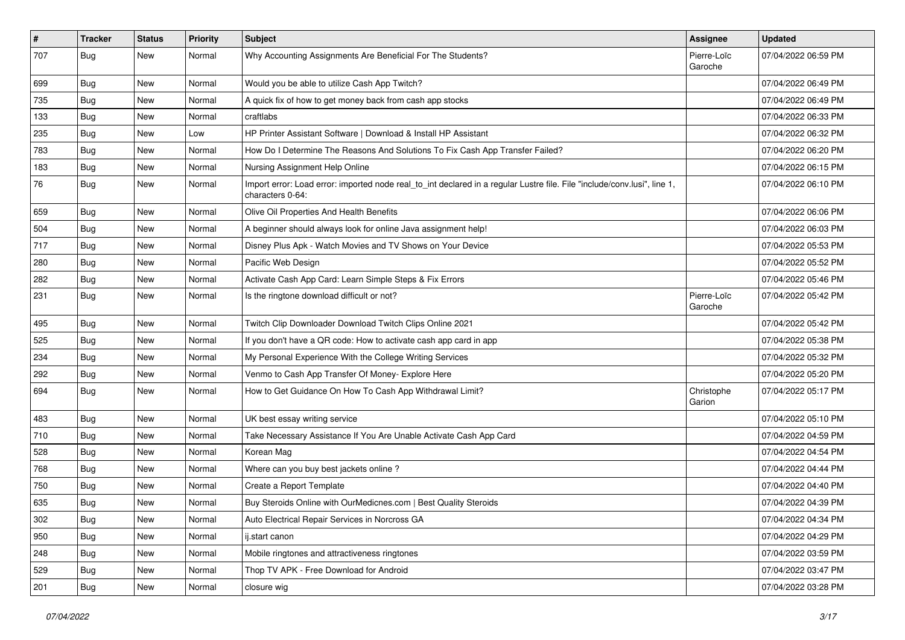| $\vert$ # | <b>Tracker</b> | <b>Status</b> | Priority | <b>Subject</b>                                                                                                                               | <b>Assignee</b>        | <b>Updated</b>      |
|-----------|----------------|---------------|----------|----------------------------------------------------------------------------------------------------------------------------------------------|------------------------|---------------------|
| 707       | <b>Bug</b>     | New           | Normal   | Why Accounting Assignments Are Beneficial For The Students?                                                                                  | Pierre-Loïc<br>Garoche | 07/04/2022 06:59 PM |
| 699       | Bug            | New           | Normal   | Would you be able to utilize Cash App Twitch?                                                                                                |                        | 07/04/2022 06:49 PM |
| 735       | <b>Bug</b>     | New           | Normal   | A quick fix of how to get money back from cash app stocks                                                                                    |                        | 07/04/2022 06:49 PM |
| 133       | Bug            | New           | Normal   | craftlabs                                                                                                                                    |                        | 07/04/2022 06:33 PM |
| 235       | <b>Bug</b>     | New           | Low      | HP Printer Assistant Software   Download & Install HP Assistant                                                                              |                        | 07/04/2022 06:32 PM |
| 783       | Bug            | New           | Normal   | How Do I Determine The Reasons And Solutions To Fix Cash App Transfer Failed?                                                                |                        | 07/04/2022 06:20 PM |
| 183       | <b>Bug</b>     | New           | Normal   | Nursing Assignment Help Online                                                                                                               |                        | 07/04/2022 06:15 PM |
| 76        | <b>Bug</b>     | New           | Normal   | Import error: Load error: imported node real_to_int declared in a regular Lustre file. File "include/conv.lusi", line 1,<br>characters 0-64: |                        | 07/04/2022 06:10 PM |
| 659       | <b>Bug</b>     | New           | Normal   | Olive Oil Properties And Health Benefits                                                                                                     |                        | 07/04/2022 06:06 PM |
| 504       | Bug            | New           | Normal   | A beginner should always look for online Java assignment help!                                                                               |                        | 07/04/2022 06:03 PM |
| 717       | Bug            | New           | Normal   | Disney Plus Apk - Watch Movies and TV Shows on Your Device                                                                                   |                        | 07/04/2022 05:53 PM |
| 280       | <b>Bug</b>     | New           | Normal   | Pacific Web Design                                                                                                                           |                        | 07/04/2022 05:52 PM |
| 282       | <b>Bug</b>     | New           | Normal   | Activate Cash App Card: Learn Simple Steps & Fix Errors                                                                                      |                        | 07/04/2022 05:46 PM |
| 231       | Bug            | New           | Normal   | Is the ringtone download difficult or not?                                                                                                   | Pierre-Loïc<br>Garoche | 07/04/2022 05:42 PM |
| 495       | Bug            | New           | Normal   | Twitch Clip Downloader Download Twitch Clips Online 2021                                                                                     |                        | 07/04/2022 05:42 PM |
| 525       | <b>Bug</b>     | New           | Normal   | If you don't have a QR code: How to activate cash app card in app                                                                            |                        | 07/04/2022 05:38 PM |
| 234       | Bug            | New           | Normal   | My Personal Experience With the College Writing Services                                                                                     |                        | 07/04/2022 05:32 PM |
| 292       | Bug            | New           | Normal   | Venmo to Cash App Transfer Of Money- Explore Here                                                                                            |                        | 07/04/2022 05:20 PM |
| 694       | <b>Bug</b>     | New           | Normal   | How to Get Guidance On How To Cash App Withdrawal Limit?                                                                                     | Christophe<br>Garion   | 07/04/2022 05:17 PM |
| 483       | <b>Bug</b>     | New           | Normal   | UK best essay writing service                                                                                                                |                        | 07/04/2022 05:10 PM |
| 710       | <b>Bug</b>     | New           | Normal   | Take Necessary Assistance If You Are Unable Activate Cash App Card                                                                           |                        | 07/04/2022 04:59 PM |
| 528       | Bug            | New           | Normal   | Korean Mag                                                                                                                                   |                        | 07/04/2022 04:54 PM |
| 768       | <b>Bug</b>     | New           | Normal   | Where can you buy best jackets online?                                                                                                       |                        | 07/04/2022 04:44 PM |
| 750       | <b>Bug</b>     | New           | Normal   | Create a Report Template                                                                                                                     |                        | 07/04/2022 04:40 PM |
| 635       | <b>Bug</b>     | New           | Normal   | Buy Steroids Online with OurMedicnes.com   Best Quality Steroids                                                                             |                        | 07/04/2022 04:39 PM |
| 302       | <b>Bug</b>     | New           | Normal   | Auto Electrical Repair Services in Norcross GA                                                                                               |                        | 07/04/2022 04:34 PM |
| 950       | <b>Bug</b>     | New           | Normal   | ij.start canon                                                                                                                               |                        | 07/04/2022 04:29 PM |
| 248       | <b>Bug</b>     | New           | Normal   | Mobile ringtones and attractiveness ringtones                                                                                                |                        | 07/04/2022 03:59 PM |
| 529       | <b>Bug</b>     | New           | Normal   | Thop TV APK - Free Download for Android                                                                                                      |                        | 07/04/2022 03:47 PM |
| 201       | <b>Bug</b>     | New           | Normal   | closure wig                                                                                                                                  |                        | 07/04/2022 03:28 PM |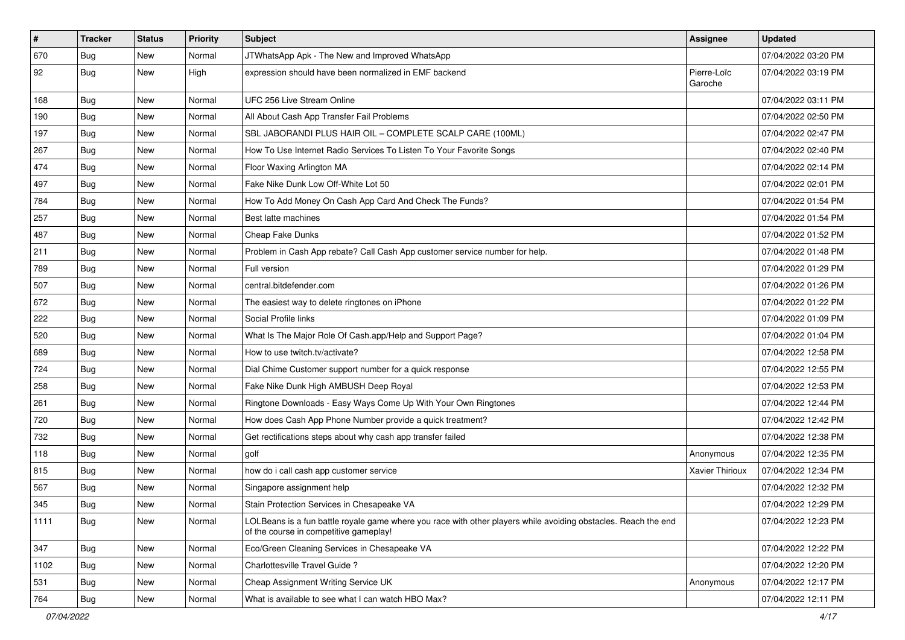| $\vert$ # | <b>Tracker</b> | <b>Status</b> | Priority | Subject                                                                                                                                                  | <b>Assignee</b>        | <b>Updated</b>      |
|-----------|----------------|---------------|----------|----------------------------------------------------------------------------------------------------------------------------------------------------------|------------------------|---------------------|
| 670       | <b>Bug</b>     | New           | Normal   | JTWhatsApp Apk - The New and Improved WhatsApp                                                                                                           |                        | 07/04/2022 03:20 PM |
| 92        | Bug            | New           | High     | expression should have been normalized in EMF backend                                                                                                    | Pierre-Loïc<br>Garoche | 07/04/2022 03:19 PM |
| 168       | <b>Bug</b>     | New           | Normal   | UFC 256 Live Stream Online                                                                                                                               |                        | 07/04/2022 03:11 PM |
| 190       | Bug            | <b>New</b>    | Normal   | All About Cash App Transfer Fail Problems                                                                                                                |                        | 07/04/2022 02:50 PM |
| 197       | <b>Bug</b>     | New           | Normal   | SBL JABORANDI PLUS HAIR OIL - COMPLETE SCALP CARE (100ML)                                                                                                |                        | 07/04/2022 02:47 PM |
| 267       | <b>Bug</b>     | New           | Normal   | How To Use Internet Radio Services To Listen To Your Favorite Songs                                                                                      |                        | 07/04/2022 02:40 PM |
| 474       | <b>Bug</b>     | New           | Normal   | Floor Waxing Arlington MA                                                                                                                                |                        | 07/04/2022 02:14 PM |
| 497       | <b>Bug</b>     | New           | Normal   | Fake Nike Dunk Low Off-White Lot 50                                                                                                                      |                        | 07/04/2022 02:01 PM |
| 784       | Bug            | New           | Normal   | How To Add Money On Cash App Card And Check The Funds?                                                                                                   |                        | 07/04/2022 01:54 PM |
| 257       | <b>Bug</b>     | New           | Normal   | Best latte machines                                                                                                                                      |                        | 07/04/2022 01:54 PM |
| 487       | <b>Bug</b>     | New           | Normal   | Cheap Fake Dunks                                                                                                                                         |                        | 07/04/2022 01:52 PM |
| 211       | <b>Bug</b>     | <b>New</b>    | Normal   | Problem in Cash App rebate? Call Cash App customer service number for help.                                                                              |                        | 07/04/2022 01:48 PM |
| 789       | <b>Bug</b>     | New           | Normal   | Full version                                                                                                                                             |                        | 07/04/2022 01:29 PM |
| 507       | Bug            | New           | Normal   | central.bitdefender.com                                                                                                                                  |                        | 07/04/2022 01:26 PM |
| 672       | <b>Bug</b>     | New           | Normal   | The easiest way to delete ringtones on iPhone                                                                                                            |                        | 07/04/2022 01:22 PM |
| 222       | <b>Bug</b>     | New           | Normal   | Social Profile links                                                                                                                                     |                        | 07/04/2022 01:09 PM |
| 520       | Bug            | <b>New</b>    | Normal   | What Is The Major Role Of Cash.app/Help and Support Page?                                                                                                |                        | 07/04/2022 01:04 PM |
| 689       | <b>Bug</b>     | New           | Normal   | How to use twitch.tv/activate?                                                                                                                           |                        | 07/04/2022 12:58 PM |
| 724       | <b>Bug</b>     | New           | Normal   | Dial Chime Customer support number for a quick response                                                                                                  |                        | 07/04/2022 12:55 PM |
| 258       | Bug            | New           | Normal   | Fake Nike Dunk High AMBUSH Deep Royal                                                                                                                    |                        | 07/04/2022 12:53 PM |
| 261       | <b>Bug</b>     | New           | Normal   | Ringtone Downloads - Easy Ways Come Up With Your Own Ringtones                                                                                           |                        | 07/04/2022 12:44 PM |
| 720       | Bug            | <b>New</b>    | Normal   | How does Cash App Phone Number provide a quick treatment?                                                                                                |                        | 07/04/2022 12:42 PM |
| 732       | <b>Bug</b>     | New           | Normal   | Get rectifications steps about why cash app transfer failed                                                                                              |                        | 07/04/2022 12:38 PM |
| 118       | Bug            | New           | Normal   | golf                                                                                                                                                     | Anonymous              | 07/04/2022 12:35 PM |
| 815       | <b>Bug</b>     | New           | Normal   | how do i call cash app customer service                                                                                                                  | <b>Xavier Thirioux</b> | 07/04/2022 12:34 PM |
| 567       | Bug            | New           | Normal   | Singapore assignment help                                                                                                                                |                        | 07/04/2022 12:32 PM |
| 345       | <b>Bug</b>     | New           | Normal   | Stain Protection Services in Chesapeake VA                                                                                                               |                        | 07/04/2022 12:29 PM |
| 1111      | <b>Bug</b>     | New           | Normal   | LOLBeans is a fun battle royale game where you race with other players while avoiding obstacles. Reach the end<br>of the course in competitive gameplay! |                        | 07/04/2022 12:23 PM |
| 347       | Bug            | <b>New</b>    | Normal   | Eco/Green Cleaning Services in Chesapeake VA                                                                                                             |                        | 07/04/2022 12:22 PM |
| 1102      | <b>Bug</b>     | New           | Normal   | Charlottesville Travel Guide?                                                                                                                            |                        | 07/04/2022 12:20 PM |
| 531       | <b>Bug</b>     | New           | Normal   | Cheap Assignment Writing Service UK                                                                                                                      | Anonymous              | 07/04/2022 12:17 PM |
| 764       | Bug            | New           | Normal   | What is available to see what I can watch HBO Max?                                                                                                       |                        | 07/04/2022 12:11 PM |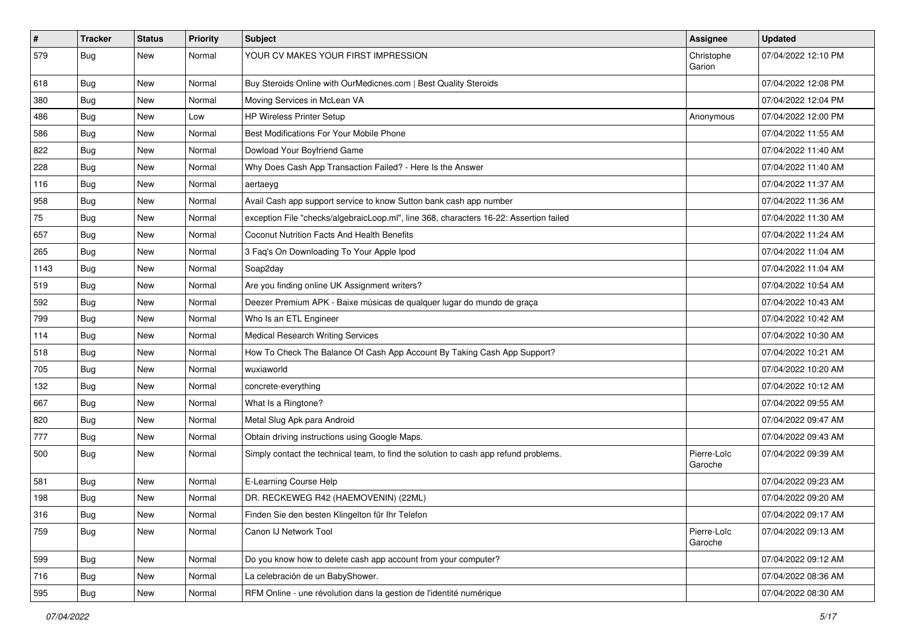| $\vert$ # | <b>Tracker</b> | <b>Status</b> | Priority | <b>Subject</b>                                                                         | <b>Assignee</b>        | <b>Updated</b>      |
|-----------|----------------|---------------|----------|----------------------------------------------------------------------------------------|------------------------|---------------------|
| 579       | <b>Bug</b>     | New           | Normal   | YOUR CV MAKES YOUR FIRST IMPRESSION                                                    | Christophe<br>Garion   | 07/04/2022 12:10 PM |
| 618       | Bug            | New           | Normal   | Buy Steroids Online with OurMedicnes.com   Best Quality Steroids                       |                        | 07/04/2022 12:08 PM |
| 380       | <b>Bug</b>     | New           | Normal   | Moving Services in McLean VA                                                           |                        | 07/04/2022 12:04 PM |
| 486       | Bug            | <b>New</b>    | Low      | HP Wireless Printer Setup                                                              | Anonymous              | 07/04/2022 12:00 PM |
| 586       | <b>Bug</b>     | New           | Normal   | Best Modifications For Your Mobile Phone                                               |                        | 07/04/2022 11:55 AM |
| 822       | Bug            | New           | Normal   | Dowload Your Boyfriend Game                                                            |                        | 07/04/2022 11:40 AM |
| 228       | Bug            | New           | Normal   | Why Does Cash App Transaction Failed? - Here Is the Answer                             |                        | 07/04/2022 11:40 AM |
| 116       | <b>Bug</b>     | New           | Normal   | aertaeyg                                                                               |                        | 07/04/2022 11:37 AM |
| 958       | <b>Bug</b>     | New           | Normal   | Avail Cash app support service to know Sutton bank cash app number                     |                        | 07/04/2022 11:36 AM |
| 75        | <b>Bug</b>     | New           | Normal   | exception File "checks/algebraicLoop.ml", line 368, characters 16-22: Assertion failed |                        | 07/04/2022 11:30 AM |
| 657       | Bug            | New           | Normal   | Coconut Nutrition Facts And Health Benefits                                            |                        | 07/04/2022 11:24 AM |
| 265       | <b>Bug</b>     | New           | Normal   | 3 Faq's On Downloading To Your Apple Ipod                                              |                        | 07/04/2022 11:04 AM |
| 1143      | <b>Bug</b>     | New           | Normal   | Soap2day                                                                               |                        | 07/04/2022 11:04 AM |
| 519       | <b>Bug</b>     | New           | Normal   | Are you finding online UK Assignment writers?                                          |                        | 07/04/2022 10:54 AM |
| 592       | <b>Bug</b>     | New           | Normal   | Deezer Premium APK - Baixe músicas de qualquer lugar do mundo de graça                 |                        | 07/04/2022 10:43 AM |
| 799       | Bug            | New           | Normal   | Who Is an ETL Engineer                                                                 |                        | 07/04/2022 10:42 AM |
| 114       | Bug            | New           | Normal   | <b>Medical Research Writing Services</b>                                               |                        | 07/04/2022 10:30 AM |
| 518       | <b>Bug</b>     | New           | Normal   | How To Check The Balance Of Cash App Account By Taking Cash App Support?               |                        | 07/04/2022 10:21 AM |
| 705       | Bug            | New           | Normal   | wuxiaworld                                                                             |                        | 07/04/2022 10:20 AM |
| 132       | Bug            | New           | Normal   | concrete-everything                                                                    |                        | 07/04/2022 10:12 AM |
| 667       | <b>Bug</b>     | New           | Normal   | What Is a Ringtone?                                                                    |                        | 07/04/2022 09:55 AM |
| 820       | <b>Bug</b>     | New           | Normal   | Metal Slug Apk para Android                                                            |                        | 07/04/2022 09:47 AM |
| 777       | Bug            | New           | Normal   | Obtain driving instructions using Google Maps.                                         |                        | 07/04/2022 09:43 AM |
| 500       | <b>Bug</b>     | <b>New</b>    | Normal   | Simply contact the technical team, to find the solution to cash app refund problems.   | Pierre-Loïc<br>Garoche | 07/04/2022 09:39 AM |
| 581       | <b>Bug</b>     | <b>New</b>    | Normal   | E-Learning Course Help                                                                 |                        | 07/04/2022 09:23 AM |
| 198       | <b>Bug</b>     | New           | Normal   | DR. RECKEWEG R42 (HAEMOVENIN) (22ML)                                                   |                        | 07/04/2022 09:20 AM |
| 316       | Bug            | New           | Normal   | Finden Sie den besten Klingelton für Ihr Telefon                                       |                        | 07/04/2022 09:17 AM |
| 759       | <b>Bug</b>     | New           | Normal   | Canon IJ Network Tool                                                                  | Pierre-Loïc<br>Garoche | 07/04/2022 09:13 AM |
| 599       | Bug            | New           | Normal   | Do you know how to delete cash app account from your computer?                         |                        | 07/04/2022 09:12 AM |
| 716       | <b>Bug</b>     | New           | Normal   | La celebración de un BabyShower.                                                       |                        | 07/04/2022 08:36 AM |
| 595       | <b>Bug</b>     | New           | Normal   | RFM Online - une révolution dans la gestion de l'identité numérique                    |                        | 07/04/2022 08:30 AM |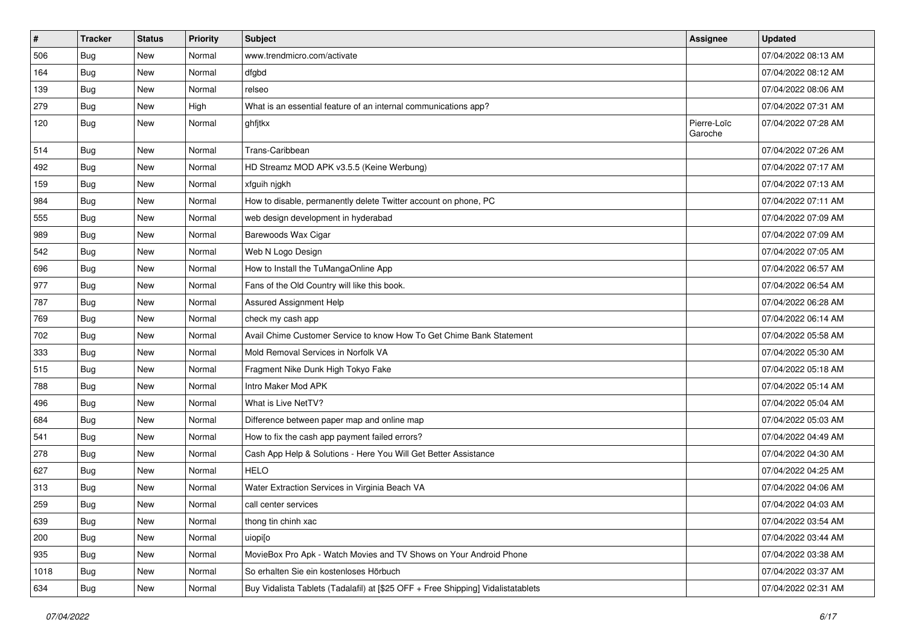| $\vert$ # | <b>Tracker</b> | <b>Status</b> | <b>Priority</b> | <b>Subject</b>                                                                   | <b>Assignee</b>        | <b>Updated</b>      |
|-----------|----------------|---------------|-----------------|----------------------------------------------------------------------------------|------------------------|---------------------|
| 506       | <b>Bug</b>     | New           | Normal          | www.trendmicro.com/activate                                                      |                        | 07/04/2022 08:13 AM |
| 164       | <b>Bug</b>     | <b>New</b>    | Normal          | dfgbd                                                                            |                        | 07/04/2022 08:12 AM |
| 139       | <b>Bug</b>     | New           | Normal          | relseo                                                                           |                        | 07/04/2022 08:06 AM |
| 279       | <b>Bug</b>     | New           | High            | What is an essential feature of an internal communications app?                  |                        | 07/04/2022 07:31 AM |
| 120       | Bug            | New           | Normal          | ghfjtkx                                                                          | Pierre-Loïc<br>Garoche | 07/04/2022 07:28 AM |
| 514       | <b>Bug</b>     | New           | Normal          | Trans-Caribbean                                                                  |                        | 07/04/2022 07:26 AM |
| 492       | <b>Bug</b>     | New           | Normal          | HD Streamz MOD APK v3.5.5 (Keine Werbung)                                        |                        | 07/04/2022 07:17 AM |
| 159       | <b>Bug</b>     | New           | Normal          | xfguih njgkh                                                                     |                        | 07/04/2022 07:13 AM |
| 984       | <b>Bug</b>     | <b>New</b>    | Normal          | How to disable, permanently delete Twitter account on phone, PC                  |                        | 07/04/2022 07:11 AM |
| 555       | <b>Bug</b>     | New           | Normal          | web design development in hyderabad                                              |                        | 07/04/2022 07:09 AM |
| 989       | <b>Bug</b>     | New           | Normal          | Barewoods Wax Cigar                                                              |                        | 07/04/2022 07:09 AM |
| 542       | <b>Bug</b>     | New           | Normal          | Web N Logo Design                                                                |                        | 07/04/2022 07:05 AM |
| 696       | <b>Bug</b>     | New           | Normal          | How to Install the TuMangaOnline App                                             |                        | 07/04/2022 06:57 AM |
| 977       | Bug            | New           | Normal          | Fans of the Old Country will like this book.                                     |                        | 07/04/2022 06:54 AM |
| 787       | <b>Bug</b>     | New           | Normal          | Assured Assignment Help                                                          |                        | 07/04/2022 06:28 AM |
| 769       | <b>Bug</b>     | New           | Normal          | check my cash app                                                                |                        | 07/04/2022 06:14 AM |
| 702       | Bug            | <b>New</b>    | Normal          | Avail Chime Customer Service to know How To Get Chime Bank Statement             |                        | 07/04/2022 05:58 AM |
| 333       | <b>Bug</b>     | New           | Normal          | Mold Removal Services in Norfolk VA                                              |                        | 07/04/2022 05:30 AM |
| 515       | <b>Bug</b>     | New           | Normal          | Fragment Nike Dunk High Tokyo Fake                                               |                        | 07/04/2022 05:18 AM |
| 788       | Bug            | New           | Normal          | Intro Maker Mod APK                                                              |                        | 07/04/2022 05:14 AM |
| 496       | <b>Bug</b>     | New           | Normal          | What is Live NetTV?                                                              |                        | 07/04/2022 05:04 AM |
| 684       | <b>Bug</b>     | <b>New</b>    | Normal          | Difference between paper map and online map                                      |                        | 07/04/2022 05:03 AM |
| 541       | <b>Bug</b>     | New           | Normal          | How to fix the cash app payment failed errors?                                   |                        | 07/04/2022 04:49 AM |
| 278       | Bug            | New           | Normal          | Cash App Help & Solutions - Here You Will Get Better Assistance                  |                        | 07/04/2022 04:30 AM |
| 627       | <b>Bug</b>     | New           | Normal          | <b>HELO</b>                                                                      |                        | 07/04/2022 04:25 AM |
| 313       | <b>Bug</b>     | New           | Normal          | Water Extraction Services in Virginia Beach VA                                   |                        | 07/04/2022 04:06 AM |
| 259       | <b>Bug</b>     | New           | Normal          | call center services                                                             |                        | 07/04/2022 04:03 AM |
| 639       | <b>Bug</b>     | New           | Normal          | thong tin chinh xac                                                              |                        | 07/04/2022 03:54 AM |
| 200       | Bug            | New           | Normal          | uiopi[o                                                                          |                        | 07/04/2022 03:44 AM |
| 935       | Bug            | New           | Normal          | MovieBox Pro Apk - Watch Movies and TV Shows on Your Android Phone               |                        | 07/04/2022 03:38 AM |
| 1018      | Bug            | New           | Normal          | So erhalten Sie ein kostenloses Hörbuch                                          |                        | 07/04/2022 03:37 AM |
| 634       | <b>Bug</b>     | New           | Normal          | Buy Vidalista Tablets (Tadalafil) at [\$25 OFF + Free Shipping] Vidalistatablets |                        | 07/04/2022 02:31 AM |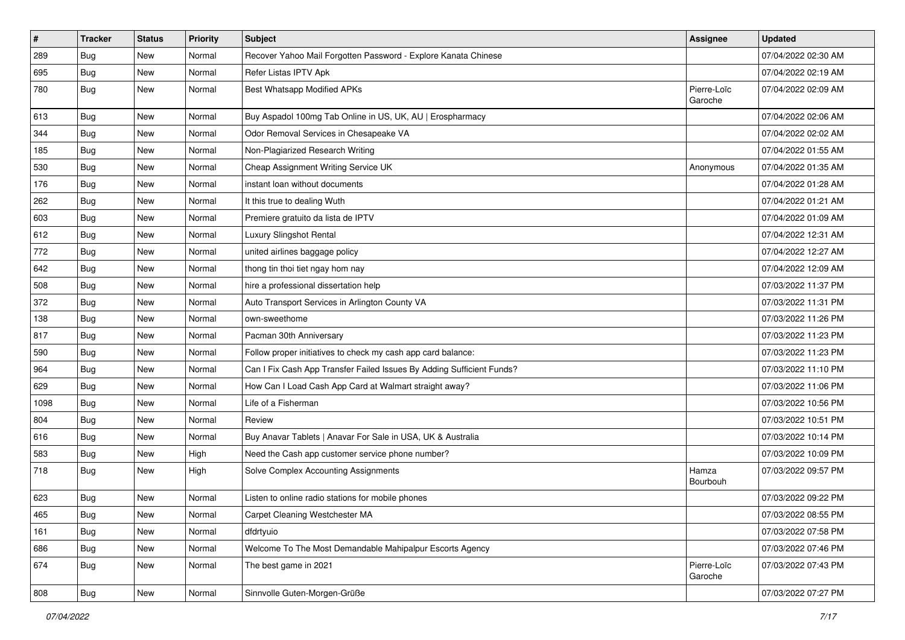| $\vert$ # | <b>Tracker</b> | <b>Status</b> | <b>Priority</b> | <b>Subject</b>                                                        | Assignee               | <b>Updated</b>      |
|-----------|----------------|---------------|-----------------|-----------------------------------------------------------------------|------------------------|---------------------|
| 289       | <b>Bug</b>     | New           | Normal          | Recover Yahoo Mail Forgotten Password - Explore Kanata Chinese        |                        | 07/04/2022 02:30 AM |
| 695       | <b>Bug</b>     | New           | Normal          | Refer Listas IPTV Apk                                                 |                        | 07/04/2022 02:19 AM |
| 780       | Bug            | <b>New</b>    | Normal          | <b>Best Whatsapp Modified APKs</b>                                    | Pierre-Loïc<br>Garoche | 07/04/2022 02:09 AM |
| 613       | Bug            | <b>New</b>    | Normal          | Buy Aspadol 100mg Tab Online in US, UK, AU   Erospharmacy             |                        | 07/04/2022 02:06 AM |
| 344       | Bug            | New           | Normal          | Odor Removal Services in Chesapeake VA                                |                        | 07/04/2022 02:02 AM |
| 185       | <b>Bug</b>     | New           | Normal          | Non-Plagiarized Research Writing                                      |                        | 07/04/2022 01:55 AM |
| 530       | Bug            | New           | Normal          | Cheap Assignment Writing Service UK                                   | Anonymous              | 07/04/2022 01:35 AM |
| 176       | <b>Bug</b>     | New           | Normal          | instant loan without documents                                        |                        | 07/04/2022 01:28 AM |
| 262       | Bug            | <b>New</b>    | Normal          | It this true to dealing Wuth                                          |                        | 07/04/2022 01:21 AM |
| 603       | Bug            | New           | Normal          | Premiere gratuito da lista de IPTV                                    |                        | 07/04/2022 01:09 AM |
| 612       | <b>Bug</b>     | New           | Normal          | Luxury Slingshot Rental                                               |                        | 07/04/2022 12:31 AM |
| 772       | <b>Bug</b>     | <b>New</b>    | Normal          | united airlines baggage policy                                        |                        | 07/04/2022 12:27 AM |
| 642       | <b>Bug</b>     | New           | Normal          | thong tin thoi tiet ngay hom nay                                      |                        | 07/04/2022 12:09 AM |
| 508       | <b>Bug</b>     | New           | Normal          | hire a professional dissertation help                                 |                        | 07/03/2022 11:37 PM |
| 372       | <b>Bug</b>     | New           | Normal          | Auto Transport Services in Arlington County VA                        |                        | 07/03/2022 11:31 PM |
| 138       | <b>Bug</b>     | New           | Normal          | own-sweethome                                                         |                        | 07/03/2022 11:26 PM |
| 817       | Bug            | <b>New</b>    | Normal          | Pacman 30th Anniversary                                               |                        | 07/03/2022 11:23 PM |
| 590       | Bug            | New           | Normal          | Follow proper initiatives to check my cash app card balance:          |                        | 07/03/2022 11:23 PM |
| 964       | Bug            | New           | Normal          | Can I Fix Cash App Transfer Failed Issues By Adding Sufficient Funds? |                        | 07/03/2022 11:10 PM |
| 629       | Bug            | New           | Normal          | How Can I Load Cash App Card at Walmart straight away?                |                        | 07/03/2022 11:06 PM |
| 1098      | <b>Bug</b>     | <b>New</b>    | Normal          | Life of a Fisherman                                                   |                        | 07/03/2022 10:56 PM |
| 804       | Bug            | <b>New</b>    | Normal          | Review                                                                |                        | 07/03/2022 10:51 PM |
| 616       | <b>Bug</b>     | New           | Normal          | Buy Anavar Tablets   Anavar For Sale in USA, UK & Australia           |                        | 07/03/2022 10:14 PM |
| 583       | <b>Bug</b>     | New           | High            | Need the Cash app customer service phone number?                      |                        | 07/03/2022 10:09 PM |
| 718       | Bug            | New           | High            | Solve Complex Accounting Assignments                                  | Hamza<br>Bourbouh      | 07/03/2022 09:57 PM |
| 623       | <b>Bug</b>     | New           | Normal          | Listen to online radio stations for mobile phones                     |                        | 07/03/2022 09:22 PM |
| 465       | Bug            | New           | Normal          | Carpet Cleaning Westchester MA                                        |                        | 07/03/2022 08:55 PM |
| 161       | Bug            | New           | Normal          | dfdrtyuio                                                             |                        | 07/03/2022 07:58 PM |
| 686       | Bug            | <b>New</b>    | Normal          | Welcome To The Most Demandable Mahipalpur Escorts Agency              |                        | 07/03/2022 07:46 PM |
| 674       | Bug            | New           | Normal          | The best game in 2021                                                 | Pierre-Loïc<br>Garoche | 07/03/2022 07:43 PM |
| 808       | <b>Bug</b>     | New           | Normal          | Sinnvolle Guten-Morgen-Grüße                                          |                        | 07/03/2022 07:27 PM |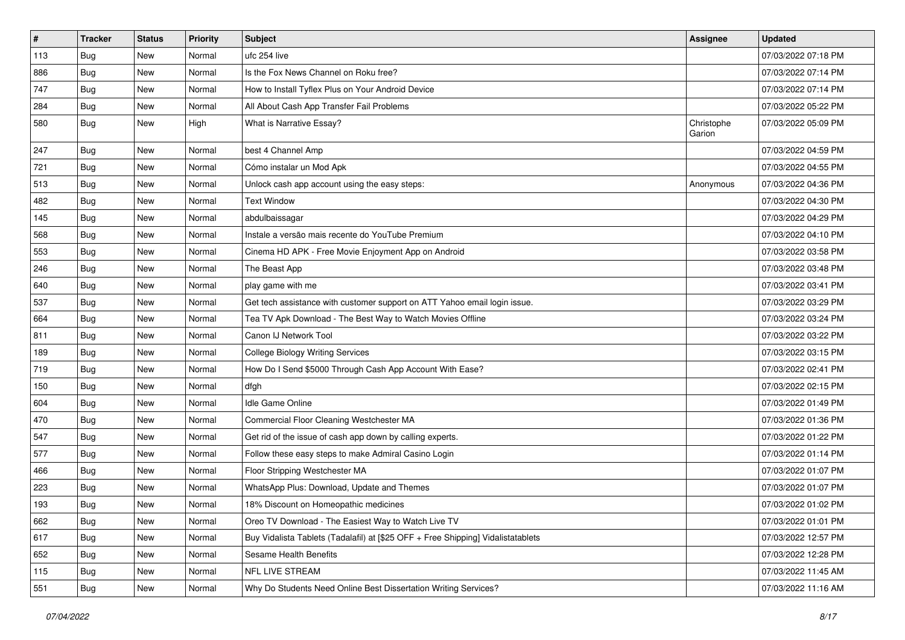| $\vert$ # | <b>Tracker</b> | <b>Status</b> | <b>Priority</b> | <b>Subject</b>                                                                   | <b>Assignee</b>      | <b>Updated</b>      |
|-----------|----------------|---------------|-----------------|----------------------------------------------------------------------------------|----------------------|---------------------|
| 113       | Bug            | New           | Normal          | ufc 254 live                                                                     |                      | 07/03/2022 07:18 PM |
| 886       | <b>Bug</b>     | <b>New</b>    | Normal          | Is the Fox News Channel on Roku free?                                            |                      | 07/03/2022 07:14 PM |
| 747       | Bug            | New           | Normal          | How to Install Tyflex Plus on Your Android Device                                |                      | 07/03/2022 07:14 PM |
| 284       | <b>Bug</b>     | New           | Normal          | All About Cash App Transfer Fail Problems                                        |                      | 07/03/2022 05:22 PM |
| 580       | Bug            | New           | High            | What is Narrative Essay?                                                         | Christophe<br>Garion | 07/03/2022 05:09 PM |
| 247       | <b>Bug</b>     | New           | Normal          | best 4 Channel Amp                                                               |                      | 07/03/2022 04:59 PM |
| 721       | Bug            | New           | Normal          | Cómo instalar un Mod Apk                                                         |                      | 07/03/2022 04:55 PM |
| 513       | <b>Bug</b>     | New           | Normal          | Unlock cash app account using the easy steps:                                    | Anonymous            | 07/03/2022 04:36 PM |
| 482       | Bug            | <b>New</b>    | Normal          | <b>Text Window</b>                                                               |                      | 07/03/2022 04:30 PM |
| 145       | Bug            | New           | Normal          | abdulbaissagar                                                                   |                      | 07/03/2022 04:29 PM |
| 568       | <b>Bug</b>     | New           | Normal          | Instale a versão mais recente do YouTube Premium                                 |                      | 07/03/2022 04:10 PM |
| 553       | <b>Bug</b>     | <b>New</b>    | Normal          | Cinema HD APK - Free Movie Enjoyment App on Android                              |                      | 07/03/2022 03:58 PM |
| 246       | <b>Bug</b>     | New           | Normal          | The Beast App                                                                    |                      | 07/03/2022 03:48 PM |
| 640       | Bug            | New           | Normal          | play game with me                                                                |                      | 07/03/2022 03:41 PM |
| 537       | Bug            | New           | Normal          | Get tech assistance with customer support on ATT Yahoo email login issue.        |                      | 07/03/2022 03:29 PM |
| 664       | Bug            | New           | Normal          | Tea TV Apk Download - The Best Way to Watch Movies Offline                       |                      | 07/03/2022 03:24 PM |
| 811       | Bug            | <b>New</b>    | Normal          | Canon IJ Network Tool                                                            |                      | 07/03/2022 03:22 PM |
| 189       | <b>Bug</b>     | New           | Normal          | College Biology Writing Services                                                 |                      | 07/03/2022 03:15 PM |
| 719       | Bug            | New           | Normal          | How Do I Send \$5000 Through Cash App Account With Ease?                         |                      | 07/03/2022 02:41 PM |
| 150       | <b>Bug</b>     | New           | Normal          | dfgh                                                                             |                      | 07/03/2022 02:15 PM |
| 604       | Bug            | New           | Normal          | Idle Game Online                                                                 |                      | 07/03/2022 01:49 PM |
| 470       | Bug            | <b>New</b>    | Normal          | Commercial Floor Cleaning Westchester MA                                         |                      | 07/03/2022 01:36 PM |
| 547       | Bug            | New           | Normal          | Get rid of the issue of cash app down by calling experts.                        |                      | 07/03/2022 01:22 PM |
| 577       | <b>Bug</b>     | New           | Normal          | Follow these easy steps to make Admiral Casino Login                             |                      | 07/03/2022 01:14 PM |
| 466       | Bug            | New           | Normal          | Floor Stripping Westchester MA                                                   |                      | 07/03/2022 01:07 PM |
| 223       | Bug            | New           | Normal          | WhatsApp Plus: Download, Update and Themes                                       |                      | 07/03/2022 01:07 PM |
| 193       | <b>Bug</b>     | New           | Normal          | 18% Discount on Homeopathic medicines                                            |                      | 07/03/2022 01:02 PM |
| 662       | <b>Bug</b>     | New           | Normal          | Oreo TV Download - The Easiest Way to Watch Live TV                              |                      | 07/03/2022 01:01 PM |
| 617       | <b>Bug</b>     | New           | Normal          | Buy Vidalista Tablets (Tadalafil) at [\$25 OFF + Free Shipping] Vidalistatablets |                      | 07/03/2022 12:57 PM |
| 652       | Bug            | New           | Normal          | Sesame Health Benefits                                                           |                      | 07/03/2022 12:28 PM |
| 115       | <b>Bug</b>     | New           | Normal          | NFL LIVE STREAM                                                                  |                      | 07/03/2022 11:45 AM |
| 551       | Bug            | New           | Normal          | Why Do Students Need Online Best Dissertation Writing Services?                  |                      | 07/03/2022 11:16 AM |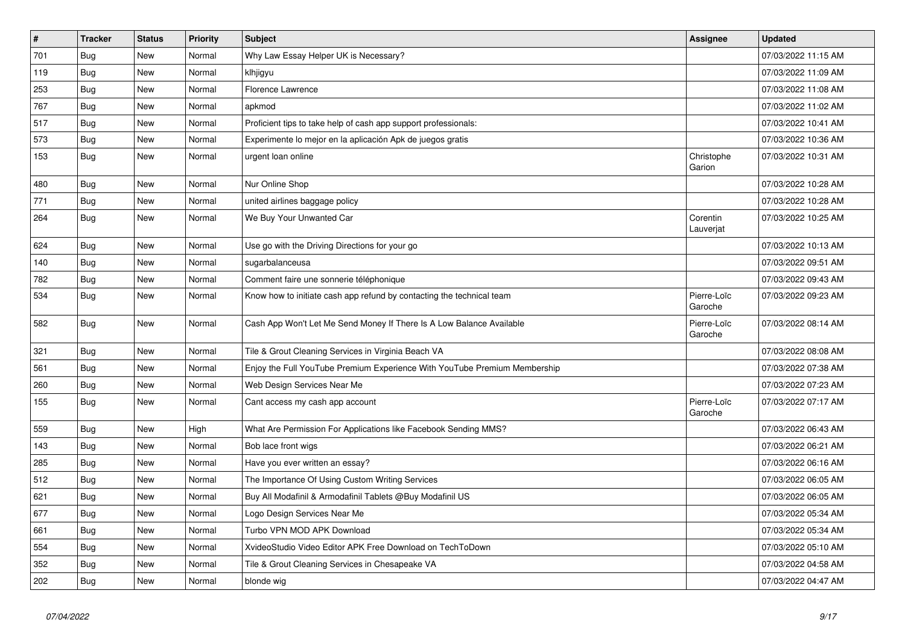| $\vert$ # | <b>Tracker</b> | <b>Status</b> | <b>Priority</b> | Subject                                                                   | Assignee               | <b>Updated</b>      |
|-----------|----------------|---------------|-----------------|---------------------------------------------------------------------------|------------------------|---------------------|
| 701       | <b>Bug</b>     | <b>New</b>    | Normal          | Why Law Essay Helper UK is Necessary?                                     |                        | 07/03/2022 11:15 AM |
| 119       | Bug            | <b>New</b>    | Normal          | klhjigyu                                                                  |                        | 07/03/2022 11:09 AM |
| 253       | <b>Bug</b>     | <b>New</b>    | Normal          | <b>Florence Lawrence</b>                                                  |                        | 07/03/2022 11:08 AM |
| 767       | Bug            | New           | Normal          | apkmod                                                                    |                        | 07/03/2022 11:02 AM |
| 517       | Bug            | New           | Normal          | Proficient tips to take help of cash app support professionals:           |                        | 07/03/2022 10:41 AM |
| 573       | Bug            | New           | Normal          | Experimente lo mejor en la aplicación Apk de juegos gratis                |                        | 07/03/2022 10:36 AM |
| 153       | Bug            | <b>New</b>    | Normal          | urgent loan online                                                        | Christophe<br>Garion   | 07/03/2022 10:31 AM |
| 480       | Bug            | New           | Normal          | Nur Online Shop                                                           |                        | 07/03/2022 10:28 AM |
| 771       | Bug            | New           | Normal          | united airlines baggage policy                                            |                        | 07/03/2022 10:28 AM |
| 264       | Bug            | New           | Normal          | We Buy Your Unwanted Car                                                  | Corentin<br>Lauverjat  | 07/03/2022 10:25 AM |
| 624       | <b>Bug</b>     | New           | Normal          | Use go with the Driving Directions for your go                            |                        | 07/03/2022 10:13 AM |
| 140       | Bug            | New           | Normal          | sugarbalanceusa                                                           |                        | 07/03/2022 09:51 AM |
| 782       | Bug            | New           | Normal          | Comment faire une sonnerie téléphonique                                   |                        | 07/03/2022 09:43 AM |
| 534       | Bug            | New           | Normal          | Know how to initiate cash app refund by contacting the technical team     | Pierre-Loïc<br>Garoche | 07/03/2022 09:23 AM |
| 582       | <b>Bug</b>     | <b>New</b>    | Normal          | Cash App Won't Let Me Send Money If There Is A Low Balance Available      | Pierre-Loïc<br>Garoche | 07/03/2022 08:14 AM |
| 321       | Bug            | <b>New</b>    | Normal          | Tile & Grout Cleaning Services in Virginia Beach VA                       |                        | 07/03/2022 08:08 AM |
| 561       | Bug            | New           | Normal          | Enjoy the Full YouTube Premium Experience With YouTube Premium Membership |                        | 07/03/2022 07:38 AM |
| 260       | <b>Bug</b>     | New           | Normal          | Web Design Services Near Me                                               |                        | 07/03/2022 07:23 AM |
| 155       | <b>Bug</b>     | <b>New</b>    | Normal          | Cant access my cash app account                                           | Pierre-Loïc<br>Garoche | 07/03/2022 07:17 AM |
| 559       | Bug            | New           | High            | What Are Permission For Applications like Facebook Sending MMS?           |                        | 07/03/2022 06:43 AM |
| 143       | Bug            | New           | Normal          | Bob lace front wigs                                                       |                        | 07/03/2022 06:21 AM |
| 285       | Bug            | New           | Normal          | Have you ever written an essay?                                           |                        | 07/03/2022 06:16 AM |
| 512       | <b>Bug</b>     | New           | Normal          | The Importance Of Using Custom Writing Services                           |                        | 07/03/2022 06:05 AM |
| 621       | <b>Bug</b>     | New           | Normal          | Buy All Modafinil & Armodafinil Tablets @Buy Modafinil US                 |                        | 07/03/2022 06:05 AM |
| 677       | Bug            | New           | Normal          | Logo Design Services Near Me                                              |                        | 07/03/2022 05:34 AM |
| 661       | <b>Bug</b>     | New           | Normal          | Turbo VPN MOD APK Download                                                |                        | 07/03/2022 05:34 AM |
| 554       | Bug            | New           | Normal          | XvideoStudio Video Editor APK Free Download on TechToDown                 |                        | 07/03/2022 05:10 AM |
| 352       | <b>Bug</b>     | New           | Normal          | Tile & Grout Cleaning Services in Chesapeake VA                           |                        | 07/03/2022 04:58 AM |
| 202       | <b>Bug</b>     | New           | Normal          | blonde wig                                                                |                        | 07/03/2022 04:47 AM |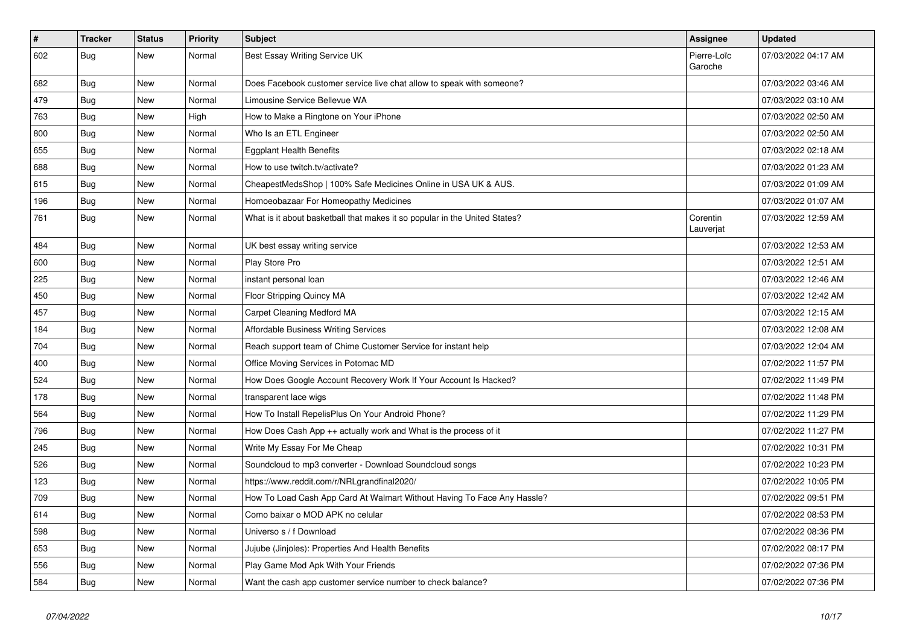| $\vert$ # | <b>Tracker</b> | <b>Status</b> | <b>Priority</b> | <b>Subject</b>                                                             | <b>Assignee</b>        | <b>Updated</b>      |
|-----------|----------------|---------------|-----------------|----------------------------------------------------------------------------|------------------------|---------------------|
| 602       | Bug            | New           | Normal          | <b>Best Essay Writing Service UK</b>                                       | Pierre-Loïc<br>Garoche | 07/03/2022 04:17 AM |
| 682       | Bug            | <b>New</b>    | Normal          | Does Facebook customer service live chat allow to speak with someone?      |                        | 07/03/2022 03:46 AM |
| 479       | <b>Bug</b>     | New           | Normal          | Limousine Service Bellevue WA                                              |                        | 07/03/2022 03:10 AM |
| 763       | <b>Bug</b>     | New           | High            | How to Make a Ringtone on Your iPhone                                      |                        | 07/03/2022 02:50 AM |
| 800       | <b>Bug</b>     | New           | Normal          | Who Is an ETL Engineer                                                     |                        | 07/03/2022 02:50 AM |
| 655       | <b>Bug</b>     | <b>New</b>    | Normal          | <b>Eggplant Health Benefits</b>                                            |                        | 07/03/2022 02:18 AM |
| 688       | <b>Bug</b>     | <b>New</b>    | Normal          | How to use twitch.tv/activate?                                             |                        | 07/03/2022 01:23 AM |
| 615       | Bug            | <b>New</b>    | Normal          | CheapestMedsShop   100% Safe Medicines Online in USA UK & AUS.             |                        | 07/03/2022 01:09 AM |
| 196       | Bug            | <b>New</b>    | Normal          | Homoeobazaar For Homeopathy Medicines                                      |                        | 07/03/2022 01:07 AM |
| 761       | Bug            | New           | Normal          | What is it about basketball that makes it so popular in the United States? | Corentin<br>Lauverjat  | 07/03/2022 12:59 AM |
| 484       | <b>Bug</b>     | New           | Normal          | UK best essay writing service                                              |                        | 07/03/2022 12:53 AM |
| 600       | Bug            | New           | Normal          | Play Store Pro                                                             |                        | 07/03/2022 12:51 AM |
| 225       | <b>Bug</b>     | <b>New</b>    | Normal          | instant personal loan                                                      |                        | 07/03/2022 12:46 AM |
| 450       | Bug            | <b>New</b>    | Normal          | Floor Stripping Quincy MA                                                  |                        | 07/03/2022 12:42 AM |
| 457       | Bug            | New           | Normal          | Carpet Cleaning Medford MA                                                 |                        | 07/03/2022 12:15 AM |
| 184       | Bug            | New           | Normal          | <b>Affordable Business Writing Services</b>                                |                        | 07/03/2022 12:08 AM |
| 704       | Bug            | New           | Normal          | Reach support team of Chime Customer Service for instant help              |                        | 07/03/2022 12:04 AM |
| 400       | Bug            | New           | Normal          | Office Moving Services in Potomac MD                                       |                        | 07/02/2022 11:57 PM |
| 524       | <b>Bug</b>     | New           | Normal          | How Does Google Account Recovery Work If Your Account Is Hacked?           |                        | 07/02/2022 11:49 PM |
| 178       | Bug            | New           | Normal          | transparent lace wigs                                                      |                        | 07/02/2022 11:48 PM |
| 564       | Bug            | New           | Normal          | How To Install RepelisPlus On Your Android Phone?                          |                        | 07/02/2022 11:29 PM |
| 796       | <b>Bug</b>     | New           | Normal          | How Does Cash App ++ actually work and What is the process of it           |                        | 07/02/2022 11:27 PM |
| 245       | <b>Bug</b>     | New           | Normal          | Write My Essay For Me Cheap                                                |                        | 07/02/2022 10:31 PM |
| 526       | <b>Bug</b>     | New           | Normal          | Soundcloud to mp3 converter - Download Soundcloud songs                    |                        | 07/02/2022 10:23 PM |
| 123       | <b>Bug</b>     | New           | Normal          | https://www.reddit.com/r/NRLgrandfinal2020/                                |                        | 07/02/2022 10:05 PM |
| 709       | Bug            | New           | Normal          | How To Load Cash App Card At Walmart Without Having To Face Any Hassle?    |                        | 07/02/2022 09:51 PM |
| 614       | Bug            | New           | Normal          | Como baixar o MOD APK no celular                                           |                        | 07/02/2022 08:53 PM |
| 598       | Bug            | New           | Normal          | Universo s / f Download                                                    |                        | 07/02/2022 08:36 PM |
| 653       | Bug            | New           | Normal          | Jujube (Jinjoles): Properties And Health Benefits                          |                        | 07/02/2022 08:17 PM |
| 556       | Bug            | New           | Normal          | Play Game Mod Apk With Your Friends                                        |                        | 07/02/2022 07:36 PM |
| 584       | <b>Bug</b>     | New           | Normal          | Want the cash app customer service number to check balance?                |                        | 07/02/2022 07:36 PM |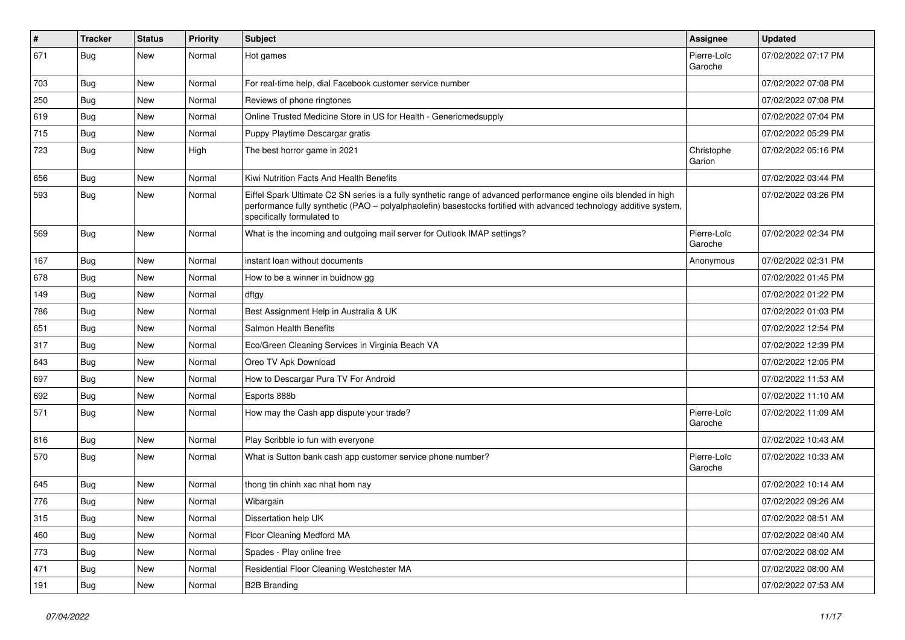| $\vert$ # | <b>Tracker</b> | <b>Status</b> | Priority | <b>Subject</b>                                                                                                                                                                                                                                                        | <b>Assignee</b>        | <b>Updated</b>      |
|-----------|----------------|---------------|----------|-----------------------------------------------------------------------------------------------------------------------------------------------------------------------------------------------------------------------------------------------------------------------|------------------------|---------------------|
| 671       | Bug            | New           | Normal   | Hot games                                                                                                                                                                                                                                                             | Pierre-Loïc<br>Garoche | 07/02/2022 07:17 PM |
| 703       | Bug            | New           | Normal   | For real-time help, dial Facebook customer service number                                                                                                                                                                                                             |                        | 07/02/2022 07:08 PM |
| 250       | <b>Bug</b>     | New           | Normal   | Reviews of phone ringtones                                                                                                                                                                                                                                            |                        | 07/02/2022 07:08 PM |
| 619       | Bug            | New           | Normal   | Online Trusted Medicine Store in US for Health - Genericmedsupply                                                                                                                                                                                                     |                        | 07/02/2022 07:04 PM |
| 715       | <b>Bug</b>     | New           | Normal   | Puppy Playtime Descargar gratis                                                                                                                                                                                                                                       |                        | 07/02/2022 05:29 PM |
| 723       | Bug            | New           | High     | The best horror game in 2021                                                                                                                                                                                                                                          | Christophe<br>Garion   | 07/02/2022 05:16 PM |
| 656       | Bug            | New           | Normal   | Kiwi Nutrition Facts And Health Benefits                                                                                                                                                                                                                              |                        | 07/02/2022 03:44 PM |
| 593       | Bug            | New           | Normal   | Eiffel Spark Ultimate C2 SN series is a fully synthetic range of advanced performance engine oils blended in high<br>performance fully synthetic (PAO - polyalphaolefin) basestocks fortified with advanced technology additive system,<br>specifically formulated to |                        | 07/02/2022 03:26 PM |
| 569       | Bug            | <b>New</b>    | Normal   | What is the incoming and outgoing mail server for Outlook IMAP settings?                                                                                                                                                                                              | Pierre-Loïc<br>Garoche | 07/02/2022 02:34 PM |
| 167       | Bug            | New           | Normal   | instant loan without documents                                                                                                                                                                                                                                        | Anonymous              | 07/02/2022 02:31 PM |
| 678       | Bug            | New           | Normal   | How to be a winner in buidnow gg                                                                                                                                                                                                                                      |                        | 07/02/2022 01:45 PM |
| 149       | Bug            | New           | Normal   | dftgy                                                                                                                                                                                                                                                                 |                        | 07/02/2022 01:22 PM |
| 786       | Bug            | New           | Normal   | Best Assignment Help in Australia & UK                                                                                                                                                                                                                                |                        | 07/02/2022 01:03 PM |
| 651       | <b>Bug</b>     | New           | Normal   | Salmon Health Benefits                                                                                                                                                                                                                                                |                        | 07/02/2022 12:54 PM |
| 317       | <b>Bug</b>     | New           | Normal   | Eco/Green Cleaning Services in Virginia Beach VA                                                                                                                                                                                                                      |                        | 07/02/2022 12:39 PM |
| 643       | Bug            | New           | Normal   | Oreo TV Apk Download                                                                                                                                                                                                                                                  |                        | 07/02/2022 12:05 PM |
| 697       | <b>Bug</b>     | New           | Normal   | How to Descargar Pura TV For Android                                                                                                                                                                                                                                  |                        | 07/02/2022 11:53 AM |
| 692       | <b>Bug</b>     | New           | Normal   | Esports 888b                                                                                                                                                                                                                                                          |                        | 07/02/2022 11:10 AM |
| 571       | Bug            | <b>New</b>    | Normal   | How may the Cash app dispute your trade?                                                                                                                                                                                                                              | Pierre-Loïc<br>Garoche | 07/02/2022 11:09 AM |
| 816       | Bug            | <b>New</b>    | Normal   | Play Scribble io fun with everyone                                                                                                                                                                                                                                    |                        | 07/02/2022 10:43 AM |
| 570       | Bug            | New           | Normal   | What is Sutton bank cash app customer service phone number?                                                                                                                                                                                                           | Pierre-Loïc<br>Garoche | 07/02/2022 10:33 AM |
| 645       | Bug            | New           | Normal   | thong tin chinh xac nhat hom nay                                                                                                                                                                                                                                      |                        | 07/02/2022 10:14 AM |
| 776       | <b>Bug</b>     | New           | Normal   | Wibargain                                                                                                                                                                                                                                                             |                        | 07/02/2022 09:26 AM |
| 315       | <b>Bug</b>     | New           | Normal   | Dissertation help UK                                                                                                                                                                                                                                                  |                        | 07/02/2022 08:51 AM |
| 460       | Bug            | New           | Normal   | Floor Cleaning Medford MA                                                                                                                                                                                                                                             |                        | 07/02/2022 08:40 AM |
| 773       | Bug            | New           | Normal   | Spades - Play online free                                                                                                                                                                                                                                             |                        | 07/02/2022 08:02 AM |
| 471       | <b>Bug</b>     | New           | Normal   | Residential Floor Cleaning Westchester MA                                                                                                                                                                                                                             |                        | 07/02/2022 08:00 AM |
| 191       | <b>Bug</b>     | New           | Normal   | <b>B2B Branding</b>                                                                                                                                                                                                                                                   |                        | 07/02/2022 07:53 AM |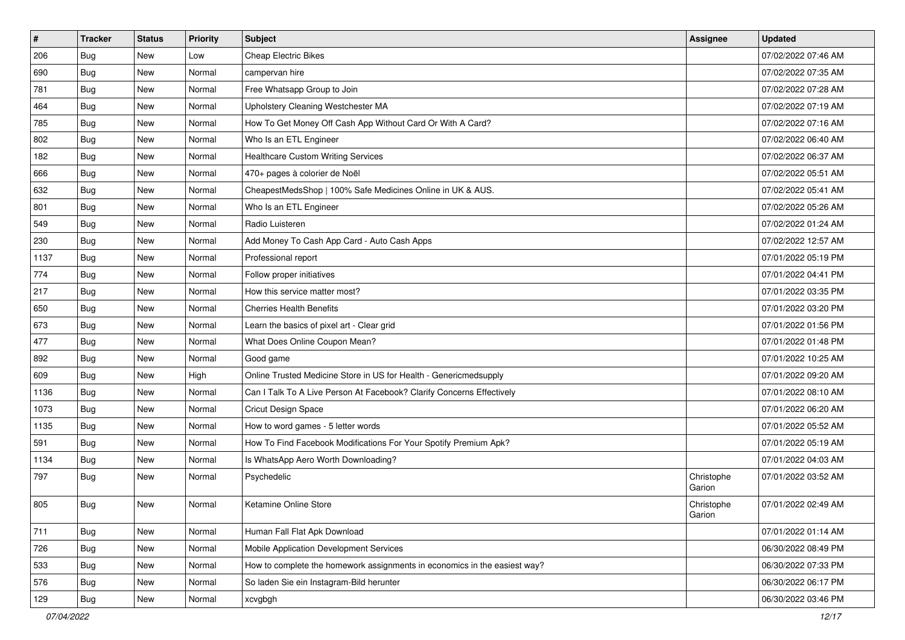| $\vert$ # | <b>Tracker</b> | <b>Status</b> | Priority | Subject                                                                   | <b>Assignee</b>      | <b>Updated</b>      |
|-----------|----------------|---------------|----------|---------------------------------------------------------------------------|----------------------|---------------------|
| 206       | <b>Bug</b>     | New           | Low      | <b>Cheap Electric Bikes</b>                                               |                      | 07/02/2022 07:46 AM |
| 690       | Bug            | New           | Normal   | campervan hire                                                            |                      | 07/02/2022 07:35 AM |
| 781       | Bug            | <b>New</b>    | Normal   | Free Whatsapp Group to Join                                               |                      | 07/02/2022 07:28 AM |
| 464       | <b>Bug</b>     | New           | Normal   | Upholstery Cleaning Westchester MA                                        |                      | 07/02/2022 07:19 AM |
| 785       | <b>Bug</b>     | <b>New</b>    | Normal   | How To Get Money Off Cash App Without Card Or With A Card?                |                      | 07/02/2022 07:16 AM |
| 802       | <b>Bug</b>     | New           | Normal   | Who Is an ETL Engineer                                                    |                      | 07/02/2022 06:40 AM |
| 182       | <b>Bug</b>     | New           | Normal   | <b>Healthcare Custom Writing Services</b>                                 |                      | 07/02/2022 06:37 AM |
| 666       | <b>Bug</b>     | New           | Normal   | 470+ pages à colorier de Noël                                             |                      | 07/02/2022 05:51 AM |
| 632       | <b>Bug</b>     | New           | Normal   | CheapestMedsShop   100% Safe Medicines Online in UK & AUS.                |                      | 07/02/2022 05:41 AM |
| 801       | Bug            | <b>New</b>    | Normal   | Who Is an ETL Engineer                                                    |                      | 07/02/2022 05:26 AM |
| 549       | <b>Bug</b>     | New           | Normal   | Radio Luisteren                                                           |                      | 07/02/2022 01:24 AM |
| 230       | Bug            | New           | Normal   | Add Money To Cash App Card - Auto Cash Apps                               |                      | 07/02/2022 12:57 AM |
| 1137      | Bug            | <b>New</b>    | Normal   | Professional report                                                       |                      | 07/01/2022 05:19 PM |
| 774       | <b>Bug</b>     | <b>New</b>    | Normal   | Follow proper initiatives                                                 |                      | 07/01/2022 04:41 PM |
| 217       | <b>Bug</b>     | New           | Normal   | How this service matter most?                                             |                      | 07/01/2022 03:35 PM |
| 650       | Bug            | New           | Normal   | <b>Cherries Health Benefits</b>                                           |                      | 07/01/2022 03:20 PM |
| 673       | <b>Bug</b>     | New           | Normal   | Learn the basics of pixel art - Clear grid                                |                      | 07/01/2022 01:56 PM |
| 477       | <b>Bug</b>     | <b>New</b>    | Normal   | What Does Online Coupon Mean?                                             |                      | 07/01/2022 01:48 PM |
| 892       | Bug            | New           | Normal   | Good game                                                                 |                      | 07/01/2022 10:25 AM |
| 609       | Bug            | New           | High     | Online Trusted Medicine Store in US for Health - Genericmedsupply         |                      | 07/01/2022 09:20 AM |
| 1136      | Bug            | New           | Normal   | Can I Talk To A Live Person At Facebook? Clarify Concerns Effectively     |                      | 07/01/2022 08:10 AM |
| 1073      | Bug            | New           | Normal   | Cricut Design Space                                                       |                      | 07/01/2022 06:20 AM |
| 1135      | Bug            | <b>New</b>    | Normal   | How to word games - 5 letter words                                        |                      | 07/01/2022 05:52 AM |
| 591       | Bug            | New           | Normal   | How To Find Facebook Modifications For Your Spotify Premium Apk?          |                      | 07/01/2022 05:19 AM |
| 1134      | <b>Bug</b>     | New           | Normal   | Is WhatsApp Aero Worth Downloading?                                       |                      | 07/01/2022 04:03 AM |
| 797       | <b>Bug</b>     | New           | Normal   | Psychedelic                                                               | Christophe<br>Garion | 07/01/2022 03:52 AM |
| 805       | <b>Bug</b>     | New           | Normal   | Ketamine Online Store                                                     | Christophe<br>Garion | 07/01/2022 02:49 AM |
| 711       | Bug            | <b>New</b>    | Normal   | Human Fall Flat Apk Download                                              |                      | 07/01/2022 01:14 AM |
| 726       | Bug            | <b>New</b>    | Normal   | Mobile Application Development Services                                   |                      | 06/30/2022 08:49 PM |
| 533       | <b>Bug</b>     | New           | Normal   | How to complete the homework assignments in economics in the easiest way? |                      | 06/30/2022 07:33 PM |
| 576       | Bug            | New           | Normal   | So laden Sie ein Instagram-Bild herunter                                  |                      | 06/30/2022 06:17 PM |
| 129       | <b>Bug</b>     | New           | Normal   | xcvgbgh                                                                   |                      | 06/30/2022 03:46 PM |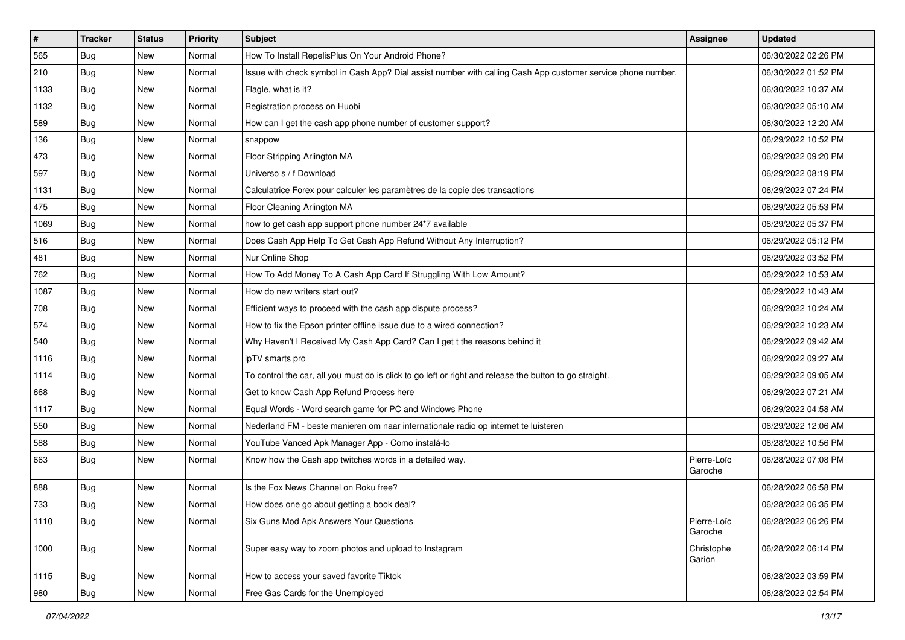| $\vert$ # | <b>Tracker</b> | <b>Status</b> | Priority | <b>Subject</b>                                                                                               | <b>Assignee</b>        | <b>Updated</b>      |
|-----------|----------------|---------------|----------|--------------------------------------------------------------------------------------------------------------|------------------------|---------------------|
| 565       | <b>Bug</b>     | New           | Normal   | How To Install RepelisPlus On Your Android Phone?                                                            |                        | 06/30/2022 02:26 PM |
| 210       | <b>Bug</b>     | New           | Normal   | Issue with check symbol in Cash App? Dial assist number with calling Cash App customer service phone number. |                        | 06/30/2022 01:52 PM |
| 1133      | Bug            | New           | Normal   | Flagle, what is it?                                                                                          |                        | 06/30/2022 10:37 AM |
| 1132      | <b>Bug</b>     | New           | Normal   | Registration process on Huobi                                                                                |                        | 06/30/2022 05:10 AM |
| 589       | <b>Bug</b>     | New           | Normal   | How can I get the cash app phone number of customer support?                                                 |                        | 06/30/2022 12:20 AM |
| 136       | <b>Bug</b>     | New           | Normal   | snappow                                                                                                      |                        | 06/29/2022 10:52 PM |
| 473       | Bug            | New           | Normal   | Floor Stripping Arlington MA                                                                                 |                        | 06/29/2022 09:20 PM |
| 597       | <b>Bug</b>     | New           | Normal   | Universo s / f Download                                                                                      |                        | 06/29/2022 08:19 PM |
| 1131      | <b>Bug</b>     | New           | Normal   | Calculatrice Forex pour calculer les paramètres de la copie des transactions                                 |                        | 06/29/2022 07:24 PM |
| 475       | <b>Bug</b>     | New           | Normal   | Floor Cleaning Arlington MA                                                                                  |                        | 06/29/2022 05:53 PM |
| 1069      | <b>Bug</b>     | New           | Normal   | how to get cash app support phone number 24*7 available                                                      |                        | 06/29/2022 05:37 PM |
| 516       | Bug            | New           | Normal   | Does Cash App Help To Get Cash App Refund Without Any Interruption?                                          |                        | 06/29/2022 05:12 PM |
| 481       | Bug            | New           | Normal   | Nur Online Shop                                                                                              |                        | 06/29/2022 03:52 PM |
| 762       | Bug            | New           | Normal   | How To Add Money To A Cash App Card If Struggling With Low Amount?                                           |                        | 06/29/2022 10:53 AM |
| 1087      | Bug            | New           | Normal   | How do new writers start out?                                                                                |                        | 06/29/2022 10:43 AM |
| 708       | Bug            | New           | Normal   | Efficient ways to proceed with the cash app dispute process?                                                 |                        | 06/29/2022 10:24 AM |
| 574       | <b>Bug</b>     | New           | Normal   | How to fix the Epson printer offline issue due to a wired connection?                                        |                        | 06/29/2022 10:23 AM |
| 540       | Bug            | New           | Normal   | Why Haven't I Received My Cash App Card? Can I get t the reasons behind it                                   |                        | 06/29/2022 09:42 AM |
| 1116      | <b>Bug</b>     | New           | Normal   | ipTV smarts pro                                                                                              |                        | 06/29/2022 09:27 AM |
| 1114      | <b>Bug</b>     | New           | Normal   | To control the car, all you must do is click to go left or right and release the button to go straight.      |                        | 06/29/2022 09:05 AM |
| 668       | Bug            | New           | Normal   | Get to know Cash App Refund Process here                                                                     |                        | 06/29/2022 07:21 AM |
| 1117      | <b>Bug</b>     | New           | Normal   | Equal Words - Word search game for PC and Windows Phone                                                      |                        | 06/29/2022 04:58 AM |
| 550       | Bug            | New           | Normal   | Nederland FM - beste manieren om naar internationale radio op internet te luisteren                          |                        | 06/29/2022 12:06 AM |
| 588       | <b>Bug</b>     | New           | Normal   | YouTube Vanced Apk Manager App - Como instalá-lo                                                             |                        | 06/28/2022 10:56 PM |
| 663       | Bug            | New           | Normal   | Know how the Cash app twitches words in a detailed way.                                                      | Pierre-Loïc<br>Garoche | 06/28/2022 07:08 PM |
| 888       | <b>Bug</b>     | New           | Normal   | Is the Fox News Channel on Roku free?                                                                        |                        | 06/28/2022 06:58 PM |
| 733       | <b>Bug</b>     | New           | Normal   | How does one go about getting a book deal?                                                                   |                        | 06/28/2022 06:35 PM |
| 1110      | <b>Bug</b>     | New           | Normal   | Six Guns Mod Apk Answers Your Questions                                                                      | Pierre-Loïc<br>Garoche | 06/28/2022 06:26 PM |
| 1000      | Bug            | New           | Normal   | Super easy way to zoom photos and upload to Instagram                                                        | Christophe<br>Garion   | 06/28/2022 06:14 PM |
| 1115      | Bug            | New           | Normal   | How to access your saved favorite Tiktok                                                                     |                        | 06/28/2022 03:59 PM |
| 980       | Bug            | New           | Normal   | Free Gas Cards for the Unemployed                                                                            |                        | 06/28/2022 02:54 PM |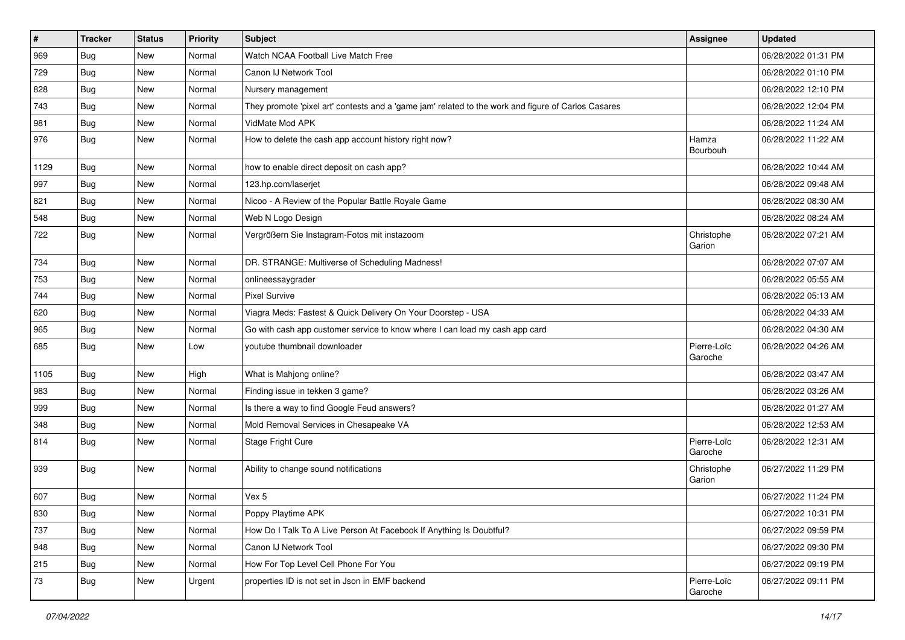| $\pmb{\#}$ | <b>Tracker</b> | <b>Status</b> | Priority | <b>Subject</b>                                                                                      | <b>Assignee</b>        | <b>Updated</b>      |
|------------|----------------|---------------|----------|-----------------------------------------------------------------------------------------------------|------------------------|---------------------|
| 969        | <b>Bug</b>     | New           | Normal   | Watch NCAA Football Live Match Free                                                                 |                        | 06/28/2022 01:31 PM |
| 729        | <b>Bug</b>     | New           | Normal   | Canon IJ Network Tool                                                                               |                        | 06/28/2022 01:10 PM |
| 828        | <b>Bug</b>     | New           | Normal   | Nursery management                                                                                  |                        | 06/28/2022 12:10 PM |
| 743        | Bug            | New           | Normal   | They promote 'pixel art' contests and a 'game jam' related to the work and figure of Carlos Casares |                        | 06/28/2022 12:04 PM |
| 981        | <b>Bug</b>     | New           | Normal   | VidMate Mod APK                                                                                     |                        | 06/28/2022 11:24 AM |
| 976        | <b>Bug</b>     | New           | Normal   | How to delete the cash app account history right now?                                               | Hamza<br>Bourbouh      | 06/28/2022 11:22 AM |
| 1129       | <b>Bug</b>     | New           | Normal   | how to enable direct deposit on cash app?                                                           |                        | 06/28/2022 10:44 AM |
| 997        | <b>Bug</b>     | New           | Normal   | 123.hp.com/laserjet                                                                                 |                        | 06/28/2022 09:48 AM |
| 821        | <b>Bug</b>     | New           | Normal   | Nicoo - A Review of the Popular Battle Royale Game                                                  |                        | 06/28/2022 08:30 AM |
| 548        | <b>Bug</b>     | New           | Normal   | Web N Logo Design                                                                                   |                        | 06/28/2022 08:24 AM |
| 722        | <b>Bug</b>     | New           | Normal   | Vergrößern Sie Instagram-Fotos mit instazoom                                                        | Christophe<br>Garion   | 06/28/2022 07:21 AM |
| 734        | <b>Bug</b>     | New           | Normal   | DR. STRANGE: Multiverse of Scheduling Madness!                                                      |                        | 06/28/2022 07:07 AM |
| 753        | <b>Bug</b>     | New           | Normal   | onlineessaygrader                                                                                   |                        | 06/28/2022 05:55 AM |
| 744        | <b>Bug</b>     | New           | Normal   | <b>Pixel Survive</b>                                                                                |                        | 06/28/2022 05:13 AM |
| 620        | <b>Bug</b>     | New           | Normal   | Viagra Meds: Fastest & Quick Delivery On Your Doorstep - USA                                        |                        | 06/28/2022 04:33 AM |
| 965        | Bug            | New           | Normal   | Go with cash app customer service to know where I can load my cash app card                         |                        | 06/28/2022 04:30 AM |
| 685        | <b>Bug</b>     | New           | Low      | voutube thumbnail downloader                                                                        | Pierre-Loïc<br>Garoche | 06/28/2022 04:26 AM |
| 1105       | Bug            | New           | High     | What is Mahjong online?                                                                             |                        | 06/28/2022 03:47 AM |
| 983        | <b>Bug</b>     | New           | Normal   | Finding issue in tekken 3 game?                                                                     |                        | 06/28/2022 03:26 AM |
| 999        | <b>Bug</b>     | New           | Normal   | Is there a way to find Google Feud answers?                                                         |                        | 06/28/2022 01:27 AM |
| 348        | Bug            | New           | Normal   | Mold Removal Services in Chesapeake VA                                                              |                        | 06/28/2022 12:53 AM |
| 814        | <b>Bug</b>     | New           | Normal   | Stage Fright Cure                                                                                   | Pierre-Loïc<br>Garoche | 06/28/2022 12:31 AM |
| 939        | <b>Bug</b>     | New           | Normal   | Ability to change sound notifications                                                               | Christophe<br>Garion   | 06/27/2022 11:29 PM |
| 607        | <b>Bug</b>     | New           | Normal   | Vex 5                                                                                               |                        | 06/27/2022 11:24 PM |
| 830        | Bug            | New           | Normal   | Poppy Playtime APK                                                                                  |                        | 06/27/2022 10:31 PM |
| 737        | <b>Bug</b>     | New           | Normal   | How Do I Talk To A Live Person At Facebook If Anything Is Doubtful?                                 |                        | 06/27/2022 09:59 PM |
| 948        | <b>Bug</b>     | New           | Normal   | Canon IJ Network Tool                                                                               |                        | 06/27/2022 09:30 PM |
| 215        | <b>Bug</b>     | New           | Normal   | How For Top Level Cell Phone For You                                                                |                        | 06/27/2022 09:19 PM |
| 73         | <b>Bug</b>     | New           | Urgent   | properties ID is not set in Json in EMF backend                                                     | Pierre-Loïc<br>Garoche | 06/27/2022 09:11 PM |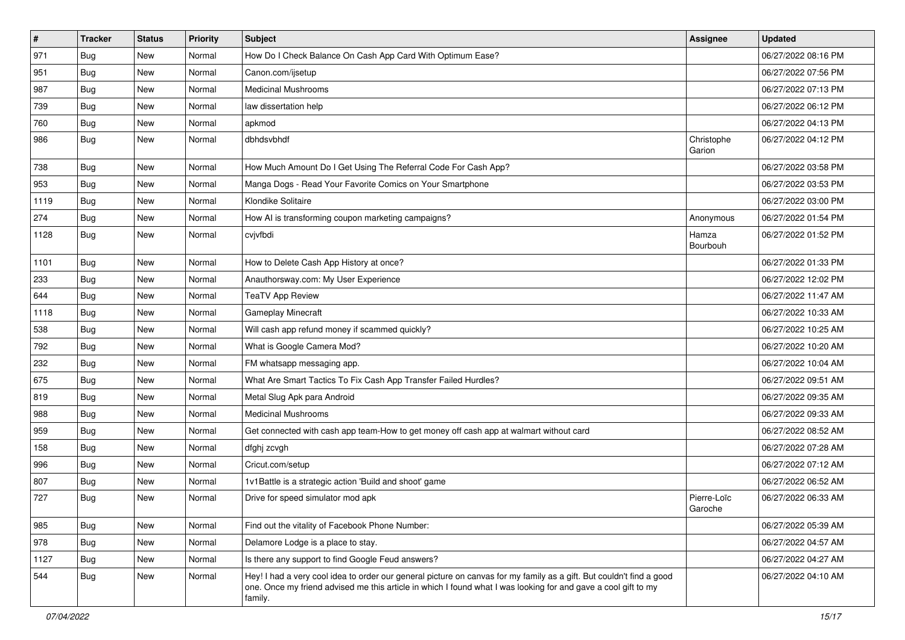| $\sharp$ | <b>Tracker</b> | <b>Status</b> | <b>Priority</b> | <b>Subject</b>                                                                                                                                                                                                                                    | <b>Assignee</b>        | <b>Updated</b>      |
|----------|----------------|---------------|-----------------|---------------------------------------------------------------------------------------------------------------------------------------------------------------------------------------------------------------------------------------------------|------------------------|---------------------|
| 971      | <b>Bug</b>     | New           | Normal          | How Do I Check Balance On Cash App Card With Optimum Ease?                                                                                                                                                                                        |                        | 06/27/2022 08:16 PM |
| 951      | <b>Bug</b>     | <b>New</b>    | Normal          | Canon.com/ijsetup                                                                                                                                                                                                                                 |                        | 06/27/2022 07:56 PM |
| 987      | Bug            | New           | Normal          | <b>Medicinal Mushrooms</b>                                                                                                                                                                                                                        |                        | 06/27/2022 07:13 PM |
| 739      | <b>Bug</b>     | New           | Normal          | law dissertation help                                                                                                                                                                                                                             |                        | 06/27/2022 06:12 PM |
| 760      | <b>Bug</b>     | <b>New</b>    | Normal          | apkmod                                                                                                                                                                                                                                            |                        | 06/27/2022 04:13 PM |
| 986      | <b>Bug</b>     | New           | Normal          | dbhdsvbhdf                                                                                                                                                                                                                                        | Christophe<br>Garion   | 06/27/2022 04:12 PM |
| 738      | Bug            | <b>New</b>    | Normal          | How Much Amount Do I Get Using The Referral Code For Cash App?                                                                                                                                                                                    |                        | 06/27/2022 03:58 PM |
| 953      | <b>Bug</b>     | <b>New</b>    | Normal          | Manga Dogs - Read Your Favorite Comics on Your Smartphone                                                                                                                                                                                         |                        | 06/27/2022 03:53 PM |
| 1119     | <b>Bug</b>     | New           | Normal          | Klondike Solitaire                                                                                                                                                                                                                                |                        | 06/27/2022 03:00 PM |
| 274      | Bug            | New           | Normal          | How AI is transforming coupon marketing campaigns?                                                                                                                                                                                                | Anonymous              | 06/27/2022 01:54 PM |
| 1128     | <b>Bug</b>     | New           | Normal          | cvjvfbdi                                                                                                                                                                                                                                          | Hamza<br>Bourbouh      | 06/27/2022 01:52 PM |
| 1101     | <b>Bug</b>     | New           | Normal          | How to Delete Cash App History at once?                                                                                                                                                                                                           |                        | 06/27/2022 01:33 PM |
| 233      | Bug            | <b>New</b>    | Normal          | Anauthorsway.com: My User Experience                                                                                                                                                                                                              |                        | 06/27/2022 12:02 PM |
| 644      | Bug            | New           | Normal          | <b>TeaTV App Review</b>                                                                                                                                                                                                                           |                        | 06/27/2022 11:47 AM |
| 1118     | <b>Bug</b>     | New           | Normal          | Gameplay Minecraft                                                                                                                                                                                                                                |                        | 06/27/2022 10:33 AM |
| 538      | Bug            | <b>New</b>    | Normal          | Will cash app refund money if scammed quickly?                                                                                                                                                                                                    |                        | 06/27/2022 10:25 AM |
| 792      | <b>Bug</b>     | New           | Normal          | What is Google Camera Mod?                                                                                                                                                                                                                        |                        | 06/27/2022 10:20 AM |
| 232      | <b>Bug</b>     | New           | Normal          | FM whatsapp messaging app.                                                                                                                                                                                                                        |                        | 06/27/2022 10:04 AM |
| 675      | <b>Bug</b>     | <b>New</b>    | Normal          | What Are Smart Tactics To Fix Cash App Transfer Failed Hurdles?                                                                                                                                                                                   |                        | 06/27/2022 09:51 AM |
| 819      | Bug            | New           | Normal          | Metal Slug Apk para Android                                                                                                                                                                                                                       |                        | 06/27/2022 09:35 AM |
| 988      | <b>Bug</b>     | New           | Normal          | <b>Medicinal Mushrooms</b>                                                                                                                                                                                                                        |                        | 06/27/2022 09:33 AM |
| 959      | <b>Bug</b>     | New           | Normal          | Get connected with cash app team-How to get money off cash app at walmart without card                                                                                                                                                            |                        | 06/27/2022 08:52 AM |
| 158      | <b>Bug</b>     | New           | Normal          | dfghj zcvgh                                                                                                                                                                                                                                       |                        | 06/27/2022 07:28 AM |
| 996      | Bug            | <b>New</b>    | Normal          | Cricut.com/setup                                                                                                                                                                                                                                  |                        | 06/27/2022 07:12 AM |
| 807      | <b>Bug</b>     | New           | Normal          | 1v1Battle is a strategic action 'Build and shoot' game                                                                                                                                                                                            |                        | 06/27/2022 06:52 AM |
| 727      | <b>Bug</b>     | New           | Normal          | Drive for speed simulator mod apk                                                                                                                                                                                                                 | Pierre-Loïc<br>Garoche | 06/27/2022 06:33 AM |
| 985      | <b>Bug</b>     | <b>New</b>    | Normal          | Find out the vitality of Facebook Phone Number:                                                                                                                                                                                                   |                        | 06/27/2022 05:39 AM |
| 978      | <b>Bug</b>     | <b>New</b>    | Normal          | Delamore Lodge is a place to stay.                                                                                                                                                                                                                |                        | 06/27/2022 04:57 AM |
| 1127     | <b>Bug</b>     | New           | Normal          | Is there any support to find Google Feud answers?                                                                                                                                                                                                 |                        | 06/27/2022 04:27 AM |
| 544      | Bug            | New           | Normal          | Hey! I had a very cool idea to order our general picture on canvas for my family as a gift. But couldn't find a good<br>one. Once my friend advised me this article in which I found what I was looking for and gave a cool gift to my<br>family. |                        | 06/27/2022 04:10 AM |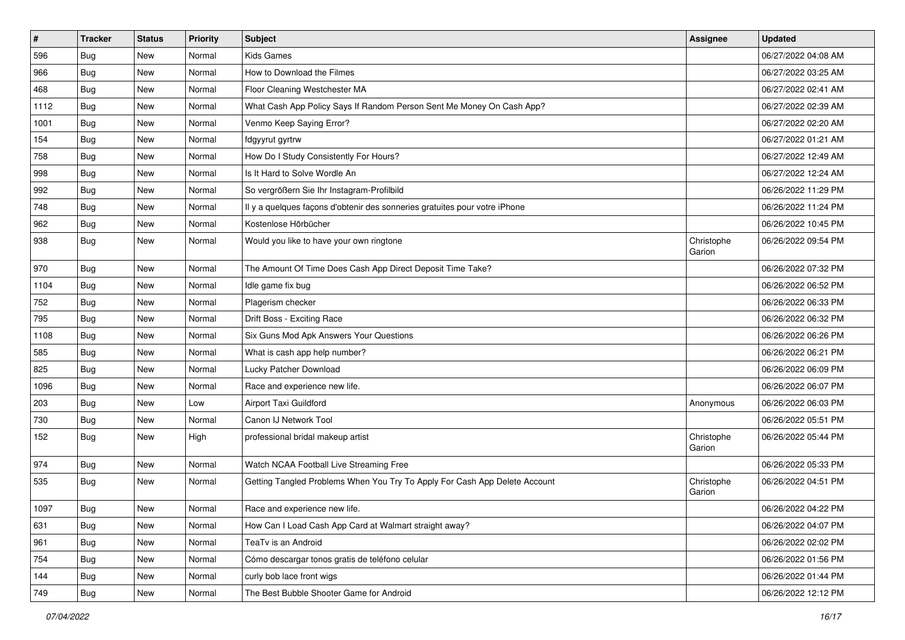| $\vert$ # | <b>Tracker</b> | <b>Status</b> | Priority | <b>Subject</b>                                                             | Assignee             | <b>Updated</b>      |
|-----------|----------------|---------------|----------|----------------------------------------------------------------------------|----------------------|---------------------|
| 596       | <b>Bug</b>     | New           | Normal   | Kids Games                                                                 |                      | 06/27/2022 04:08 AM |
| 966       | <b>Bug</b>     | New           | Normal   | How to Download the Filmes                                                 |                      | 06/27/2022 03:25 AM |
| 468       | Bug            | New           | Normal   | Floor Cleaning Westchester MA                                              |                      | 06/27/2022 02:41 AM |
| 1112      | <b>Bug</b>     | New           | Normal   | What Cash App Policy Says If Random Person Sent Me Money On Cash App?      |                      | 06/27/2022 02:39 AM |
| 1001      | <b>Bug</b>     | <b>New</b>    | Normal   | Venmo Keep Saying Error?                                                   |                      | 06/27/2022 02:20 AM |
| 154       | <b>Bug</b>     | New           | Normal   | fdgyyrut gyrtrw                                                            |                      | 06/27/2022 01:21 AM |
| 758       | Bug            | New           | Normal   | How Do I Study Consistently For Hours?                                     |                      | 06/27/2022 12:49 AM |
| 998       | <b>Bug</b>     | New           | Normal   | Is It Hard to Solve Wordle An                                              |                      | 06/27/2022 12:24 AM |
| 992       | <b>Bug</b>     | New           | Normal   | So vergrößern Sie Ihr Instagram-Profilbild                                 |                      | 06/26/2022 11:29 PM |
| 748       | Bug            | <b>New</b>    | Normal   | Il y a quelques façons d'obtenir des sonneries gratuites pour votre iPhone |                      | 06/26/2022 11:24 PM |
| 962       | <b>Bug</b>     | New           | Normal   | Kostenlose Hörbücher                                                       |                      | 06/26/2022 10:45 PM |
| 938       | <b>Bug</b>     | New           | Normal   | Would you like to have your own ringtone                                   | Christophe<br>Garion | 06/26/2022 09:54 PM |
| 970       | <b>Bug</b>     | New           | Normal   | The Amount Of Time Does Cash App Direct Deposit Time Take?                 |                      | 06/26/2022 07:32 PM |
| 1104      | <b>Bug</b>     | New           | Normal   | Idle game fix bug                                                          |                      | 06/26/2022 06:52 PM |
| 752       | <b>Bug</b>     | New           | Normal   | Plagerism checker                                                          |                      | 06/26/2022 06:33 PM |
| 795       | <b>Bug</b>     | New           | Normal   | Drift Boss - Exciting Race                                                 |                      | 06/26/2022 06:32 PM |
| 1108      | Bug            | <b>New</b>    | Normal   | Six Guns Mod Apk Answers Your Questions                                    |                      | 06/26/2022 06:26 PM |
| 585       | Bug            | New           | Normal   | What is cash app help number?                                              |                      | 06/26/2022 06:21 PM |
| 825       | <b>Bug</b>     | New           | Normal   | Lucky Patcher Download                                                     |                      | 06/26/2022 06:09 PM |
| 1096      | Bug            | New           | Normal   | Race and experience new life.                                              |                      | 06/26/2022 06:07 PM |
| 203       | <b>Bug</b>     | <b>New</b>    | Low      | Airport Taxi Guildford                                                     | Anonymous            | 06/26/2022 06:03 PM |
| 730       | Bug            | New           | Normal   | Canon IJ Network Tool                                                      |                      | 06/26/2022 05:51 PM |
| 152       | <b>Bug</b>     | New           | High     | professional bridal makeup artist                                          | Christophe<br>Garion | 06/26/2022 05:44 PM |
| 974       | Bug            | <b>New</b>    | Normal   | Watch NCAA Football Live Streaming Free                                    |                      | 06/26/2022 05:33 PM |
| 535       | <b>Bug</b>     | New           | Normal   | Getting Tangled Problems When You Try To Apply For Cash App Delete Account | Christophe<br>Garion | 06/26/2022 04:51 PM |
| 1097      | <b>Bug</b>     | New           | Normal   | Race and experience new life.                                              |                      | 06/26/2022 04:22 PM |
| 631       | <b>Bug</b>     | New           | Normal   | How Can I Load Cash App Card at Walmart straight away?                     |                      | 06/26/2022 04:07 PM |
| 961       | <b>Bug</b>     | New           | Normal   | TeaTv is an Android                                                        |                      | 06/26/2022 02:02 PM |
| 754       | Bug            | New           | Normal   | Cómo descargar tonos gratis de teléfono celular                            |                      | 06/26/2022 01:56 PM |
| 144       | Bug            | New           | Normal   | curly bob lace front wigs                                                  |                      | 06/26/2022 01:44 PM |
| 749       | <b>Bug</b>     | New           | Normal   | The Best Bubble Shooter Game for Android                                   |                      | 06/26/2022 12:12 PM |